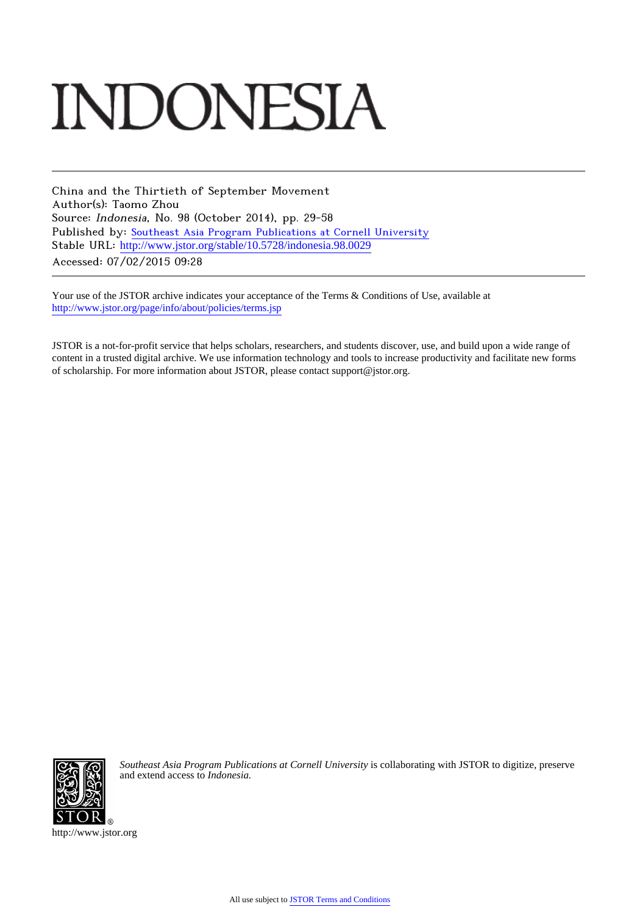# **INDONESIA**

China and the Thirtieth of September Movement Author(s): Taomo Zhou Source: Indonesia, No. 98 (October 2014), pp. 29-58 Published by: [Southeast Asia Program Publications at Cornell University](http://www.jstor.org/action/showPublisher?publisherCode=seap) Stable URL: [http://www.jstor.org/stable/10.5728/indonesia.98.0029](http://www.jstor.org/stable/10.5728/indonesia.98.0029?origin=JSTOR-pdf) Accessed: 07/02/2015 09:28

Your use of the JSTOR archive indicates your acceptance of the Terms & Conditions of Use, available at <http://www.jstor.org/page/info/about/policies/terms.jsp>

JSTOR is a not-for-profit service that helps scholars, researchers, and students discover, use, and build upon a wide range of content in a trusted digital archive. We use information technology and tools to increase productivity and facilitate new forms of scholarship. For more information about JSTOR, please contact support@jstor.org.



*Southeast Asia Program Publications at Cornell University* is collaborating with JSTOR to digitize, preserve and extend access to *Indonesia.*

http://www.jstor.org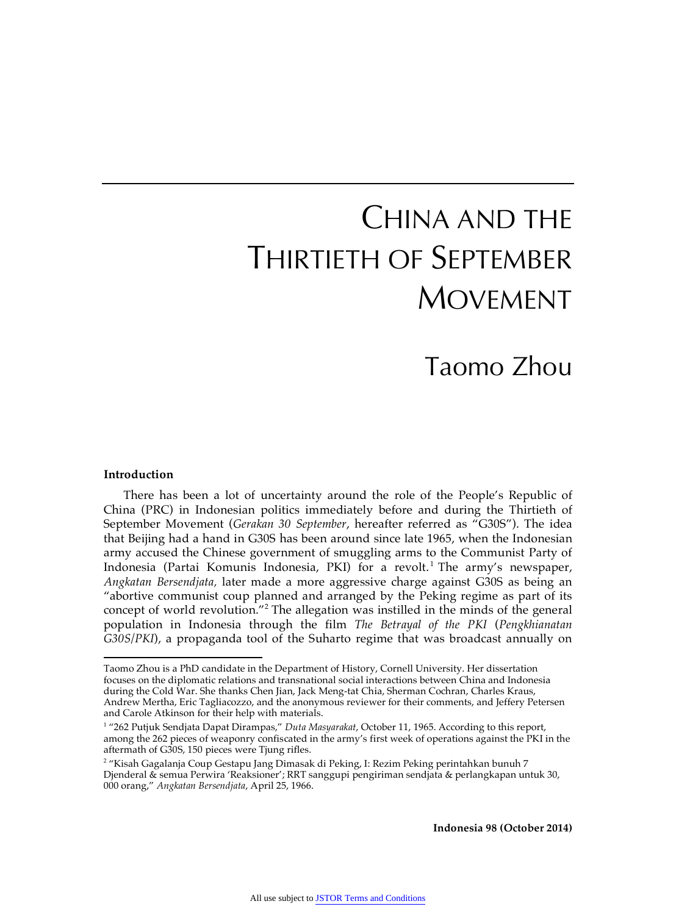## CHINA AND THE THIRTIETH OF SEPTEMBER MOVEMENT

### Taomo Zhou

#### **Introduction**

1

There has been a lot of uncertainty around the role of the People's Republic of China (PRC) in Indonesian politics immediately before and during the Thirtieth of September Movement (*Gerakan 30 September*, hereafter referred as "G30S"). The idea that Beijing had a hand in G30S has been around since late 1965, when the Indonesian army accused the Chinese government of smuggling arms to the Communist Party of Indonesia (Partai Komunis Indonesia, PKI) for a revolt.<sup>1</sup> The army's newspaper, *Angkatan Bersendjata,* later made a more aggressive charge against G30S as being an "abortive communist coup planned and arranged by the Peking regime as part of its concept of world revolution."<sup>2</sup> The allegation was instilled in the minds of the general population in Indonesia through the film *The Betrayal of the PKI* (*Pengkhianatan G30S/PKI*), a propaganda tool of the Suharto regime that was broadcast annually on

**Indonesia 98 (October 2014)**

Taomo Zhou is a PhD candidate in the Department of History, Cornell University. Her dissertation focuses on the diplomatic relations and transnational social interactions between China and Indonesia during the Cold War. She thanks Chen Jian, Jack Meng-tat Chia, Sherman Cochran, Charles Kraus, Andrew Mertha, Eric Tagliacozzo, and the anonymous reviewer for their comments, and Jeffery Petersen and Carole Atkinson for their help with materials.

<sup>1</sup> "262 Putjuk Sendjata Dapat Dirampas," *Duta Masyarakat*, October 11, 1965. According to this report, among the 262 pieces of weaponry confiscated in the army's first week of operations against the PKI in the aftermath of G30S, 150 pieces were Tjung rifles.

<sup>2</sup> "Kisah Gagalanja Coup Gestapu Jang Dimasak di Peking, I: Rezim Peking perintahkan bunuh 7 Djenderal & semua Perwira 'Reaksioner'; RRT sanggupi pengiriman sendjata & perlangkapan untuk 30, 000 orang," *Angkatan Bersendjata*, April 25, 1966.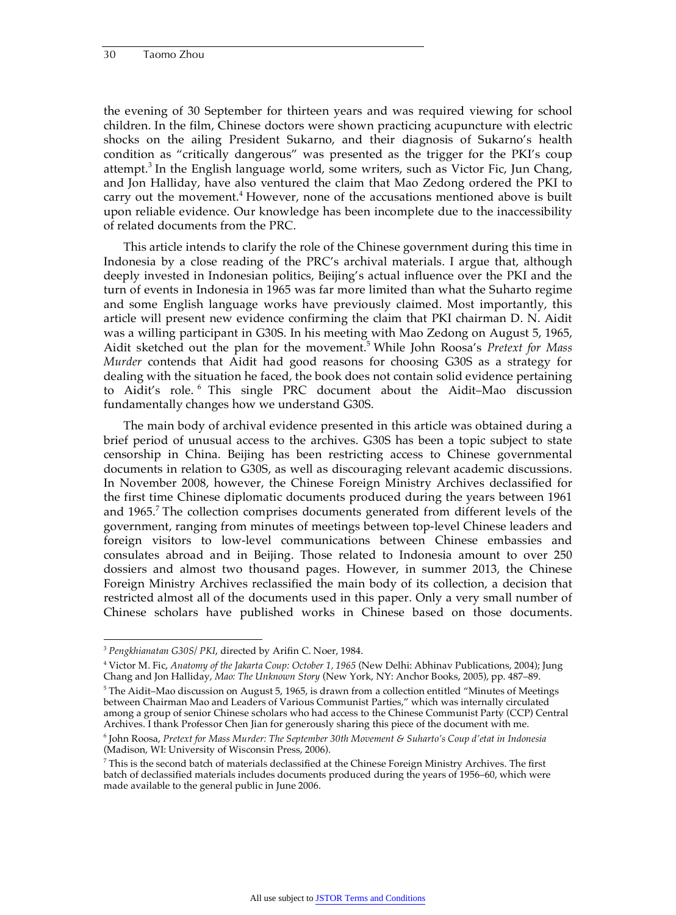the evening of 30 September for thirteen years and was required viewing for school children. In the film, Chinese doctors were shown practicing acupuncture with electric shocks on the ailing President Sukarno, and their diagnosis of Sukarno's health condition as "critically dangerous" was presented as the trigger for the PKI's coup attempt.<sup>3</sup> In the English language world, some writers, such as Victor Fic, Jun Chang, and Jon Halliday, have also ventured the claim that Mao Zedong ordered the PKI to carry out the movement.<sup>4</sup> However, none of the accusations mentioned above is built upon reliable evidence. Our knowledge has been incomplete due to the inaccessibility of related documents from the PRC.

This article intends to clarify the role of the Chinese government during this time in Indonesia by a close reading of the PRC's archival materials. I argue that, although deeply invested in Indonesian politics, Beijing's actual influence over the PKI and the turn of events in Indonesia in 1965 was far more limited than what the Suharto regime and some English language works have previously claimed. Most importantly, this article will present new evidence confirming the claim that PKI chairman D. N. Aidit was a willing participant in G30S. In his meeting with Mao Zedong on August 5, 1965, Aidit sketched out the plan for the movement.<sup>5</sup> While John Roosa's *Pretext for Mass Murder* contends that Aidit had good reasons for choosing G30S as a strategy for dealing with the situation he faced, the book does not contain solid evidence pertaining to Aidit's role. 6 This single PRC document about the Aidit–Mao discussion fundamentally changes how we understand G30S.

The main body of archival evidence presented in this article was obtained during a brief period of unusual access to the archives. G30S has been a topic subject to state censorship in China. Beijing has been restricting access to Chinese governmental documents in relation to G30S, as well as discouraging relevant academic discussions. In November 2008, however, the Chinese Foreign Ministry Archives declassified for the first time Chinese diplomatic documents produced during the years between 1961 and 1965.<sup>7</sup> The collection comprises documents generated from different levels of the government, ranging from minutes of meetings between top-level Chinese leaders and foreign visitors to low-level communications between Chinese embassies and consulates abroad and in Beijing. Those related to Indonesia amount to over 250 dossiers and almost two thousand pages. However, in summer 2013, the Chinese Foreign Ministry Archives reclassified the main body of its collection, a decision that restricted almost all of the documents used in this paper. Only a very small number of Chinese scholars have published works in Chinese based on those documents.

 <sup>3</sup> *Pengkhianatan G30S/ PKI*, directed by Arifin C. Noer, 1984.

<sup>4</sup> Victor M. Fic, *Anatomy of the Jakarta Coup: October 1, 1965* (New Delhi: Abhinav Publications, 2004); Jung Chang and Jon Halliday, *Mao: The Unknown Story* (New York, NY: Anchor Books, 2005), pp. 487–89.

 $^5$  The Aidit–Mao discussion on August 5, 1965, is drawn from a collection entitled "Minutes of Meetings between Chairman Mao and Leaders of Various Communist Parties," which was internally circulated among a group of senior Chinese scholars who had access to the Chinese Communist Party (CCP) Central Archives. I thank Professor Chen Jian for generously sharing this piece of the document with me.

<sup>6</sup> John Roosa, *Pretext for Mass Murder: The September 30th Movement & Suharto's Coup d'etat in Indonesia*  (Madison, WI: University of Wisconsin Press, 2006).

<sup>7</sup> This is the second batch of materials declassified at the Chinese Foreign Ministry Archives. The first batch of declassified materials includes documents produced during the years of 1956–60, which were made available to the general public in June 2006.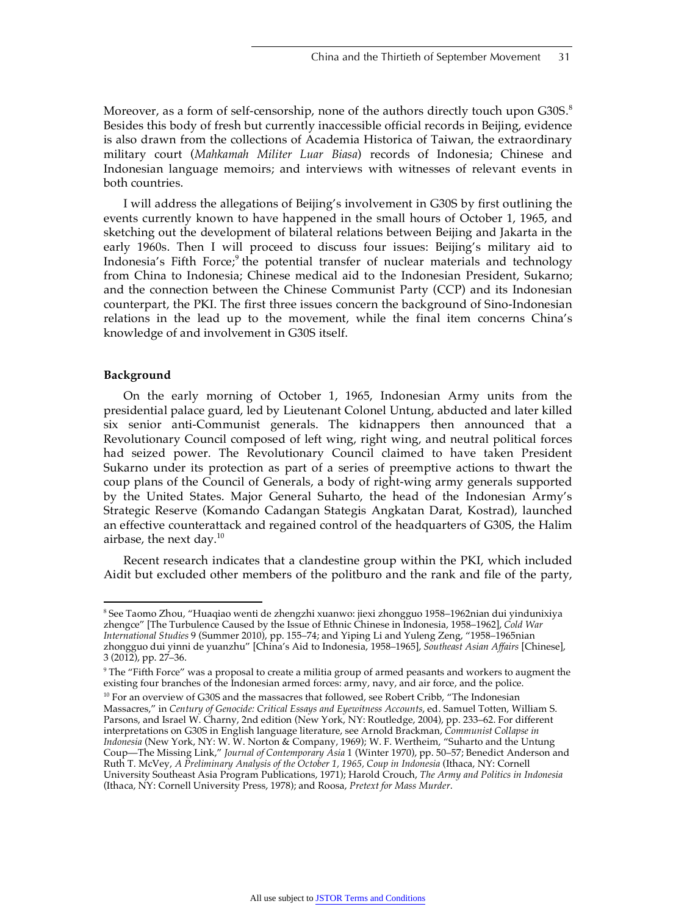Moreover, as a form of self-censorship, none of the authors directly touch upon  $G30S$ .<sup>8</sup> Besides this body of fresh but currently inaccessible official records in Beijing, evidence is also drawn from the collections of Academia Historica of Taiwan, the extraordinary military court (*Mahkamah Militer Luar Biasa*) records of Indonesia; Chinese and Indonesian language memoirs; and interviews with witnesses of relevant events in both countries.

I will address the allegations of Beijing's involvement in G30S by first outlining the events currently known to have happened in the small hours of October 1, 1965, and sketching out the development of bilateral relations between Beijing and Jakarta in the early 1960s. Then I will proceed to discuss four issues: Beijing's military aid to Indonesia's Fifth Force;<sup>9</sup> the potential transfer of nuclear materials and technology from China to Indonesia; Chinese medical aid to the Indonesian President, Sukarno; and the connection between the Chinese Communist Party (CCP) and its Indonesian counterpart, the PKI. The first three issues concern the background of Sino-Indonesian relations in the lead up to the movement, while the final item concerns China's knowledge of and involvement in G30S itself.

#### **Background**

On the early morning of October 1, 1965, Indonesian Army units from the presidential palace guard, led by Lieutenant Colonel Untung, abducted and later killed six senior anti-Communist generals. The kidnappers then announced that a Revolutionary Council composed of left wing, right wing, and neutral political forces had seized power. The Revolutionary Council claimed to have taken President Sukarno under its protection as part of a series of preemptive actions to thwart the coup plans of the Council of Generals, a body of right-wing army generals supported by the United States. Major General Suharto, the head of the Indonesian Army's Strategic Reserve (Komando Cadangan Stategis Angkatan Darat, Kostrad), launched an effective counterattack and regained control of the headquarters of G30S, the Halim airbase, the next day. $^{10}$ 

Recent research indicates that a clandestine group within the PKI, which included Aidit but excluded other members of the politburo and the rank and file of the party,

 <sup>8</sup>  $\rm ^8$ See Taomo Zhou, "Huaqiao wenti de zhengzhi xuanwo: jiexi zhongguo 1958–1962nian dui yindunixiya zhengce" [The Turbulence Caused by the Issue of Ethnic Chinese in Indonesia, 1958–1962], *Cold War International Studies* 9 (Summer 2010), pp. 155–74; and Yiping Li and Yuleng Zeng, "1958–1965nian zhongguo dui yinni de yuanzhu" [China's Aid to Indonesia, 1958–1965], *Southeast Asian Affairs* [Chinese], 3 (2012), pp. 27–36.

 $^9$  The "Fifth Force" was a proposal to create a militia group of armed peasants and workers to augment the  $\,$ existing four branches of the Indonesian armed forces: army, navy, and air force, and the police.

 $10$  For an overview of G30S and the massacres that followed, see Robert Cribb, "The Indonesian Massacres," in *Century of Genocide: Critical Essays and Eyewitness Accounts*, ed. Samuel Totten, William S. Parsons, and Israel W. Charny, 2nd edition (New York, NY: Routledge, 2004), pp. 233–62. For different interpretations on G30S in English language literature, see Arnold Brackman, *Communist Collapse in Indonesia* (New York, NY: W. W. Norton & Company, 1969); W. F. Wertheim, "Suharto and the Untung Coup—The Missing Link," *Journal of Contemporary Asia* 1 (Winter 1970), pp. 50–57; Benedict Anderson and Ruth T. McVey, *A Preliminary Analysis of the October 1, 1965, Coup in Indonesia* (Ithaca, NY: Cornell University Southeast Asia Program Publications, 1971); Harold Crouch, *The Army and Politics in Indonesia* (Ithaca, NY: Cornell University Press, 1978); and Roosa, *Pretext for Mass Murder*.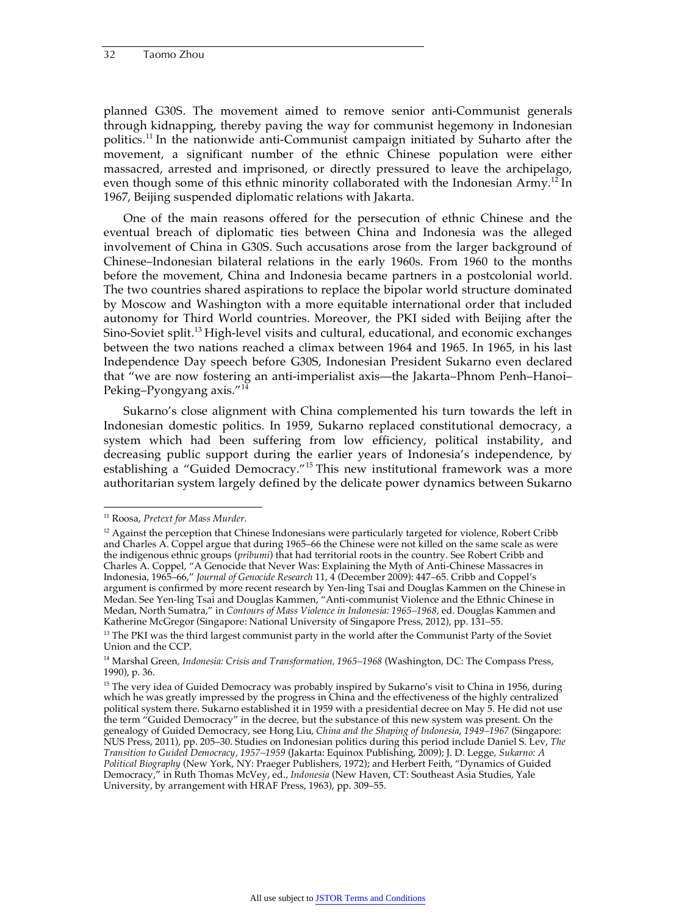planned G30S. The movement aimed to remove senior anti-Communist generals through kidnapping, thereby paving the way for communist hegemony in Indonesian politics.11 In the nationwide anti-Communist campaign initiated by Suharto after the movement, a significant number of the ethnic Chinese population were either massacred, arrested and imprisoned, or directly pressured to leave the archipelago, even though some of this ethnic minority collaborated with the Indonesian Army.<sup>12</sup> In 1967, Beijing suspended diplomatic relations with Jakarta.

One of the main reasons offered for the persecution of ethnic Chinese and the eventual breach of diplomatic ties between China and Indonesia was the alleged involvement of China in G30S. Such accusations arose from the larger background of Chinese–Indonesian bilateral relations in the early 1960s. From 1960 to the months before the movement, China and Indonesia became partners in a postcolonial world. The two countries shared aspirations to replace the bipolar world structure dominated by Moscow and Washington with a more equitable international order that included autonomy for Third World countries. Moreover, the PKI sided with Beijing after the Sino-Soviet split.<sup>13</sup> High-level visits and cultural, educational, and economic exchanges between the two nations reached a climax between 1964 and 1965. In 1965, in his last Independence Day speech before G30S, Indonesian President Sukarno even declared that "we are now fostering an anti-imperialist axis—the Jakarta–Phnom Penh–Hanoi– Peking–Pyongyang axis."<sup>14</sup>

Sukarno's close alignment with China complemented his turn towards the left in Indonesian domestic politics. In 1959, Sukarno replaced constitutional democracy, a system which had been suffering from low efficiency, political instability, and decreasing public support during the earlier years of Indonesia's independence, by establishing a "Guided Democracy."<sup>15</sup> This new institutional framework was a more authoritarian system largely defined by the delicate power dynamics between Sukarno

 <sup>11</sup> Roosa, *Pretext for Mass Murder*.

 $12$  Against the perception that Chinese Indonesians were particularly targeted for violence, Robert Cribb and Charles A. Coppel argue that during 1965–66 the Chinese were not killed on the same scale as were the indigenous ethnic groups (*pribumi*) that had territorial roots in the country. See Robert Cribb and Charles A. Coppel, "A Genocide that Never Was: Explaining the Myth of Anti-Chinese Massacres in Indonesia, 1965–66," *Journal of Genocide Research* 11, 4 (December 2009): 447–65. Cribb and Coppel's argument is confirmed by more recent research by Yen-ling Tsai and Douglas Kammen on the Chinese in Medan. See Yen-ling Tsai and Douglas Kammen, "Anti-communist Violence and the Ethnic Chinese in Medan, North Sumatra," in *Contours of Mass Violence in Indonesia: 1965–1968,* ed. Douglas Kammen and Katherine McGregor (Singapore: National University of Singapore Press, 2012), pp. 131–55.

<sup>&</sup>lt;sup>13</sup> The PKI was the third largest communist party in the world after the Communist Party of the Soviet Union and the CCP.

<sup>14</sup> Marshal Green*, Indonesia: Crisis and Transformation, 1965–1968* (Washington, DC: The Compass Press, 1990), p. 36.

<sup>&</sup>lt;sup>15</sup> The very idea of Guided Democracy was probably inspired by Sukarno's visit to China in 1956, during which he was greatly impressed by the progress in China and the effectiveness of the highly centralized political system there. Sukarno established it in 1959 with a presidential decree on May 5. He did not use the term "Guided Democracy" in the decree, but the substance of this new system was present. On the genealogy of Guided Democracy, see Hong Liu, *China and the Shaping of Indonesia*, *1949–1967* (Singapore: NUS Press, 2011), pp. 205–30. Studies on Indonesian politics during this period include Daniel S. Lev, *The Transition to Guided Democracy, 1957–1959* (Jakarta: Equinox Publishing, 2009); J. D. Legge, *Sukarno: A Political Biography* (New York, NY: Praeger Publishers, 1972); and Herbert Feith, "Dynamics of Guided Democracy," in Ruth Thomas McVey, ed., *Indonesia* (New Haven, CT: Southeast Asia Studies, Yale University, by arrangement with HRAF Press, 1963), pp. 309–55.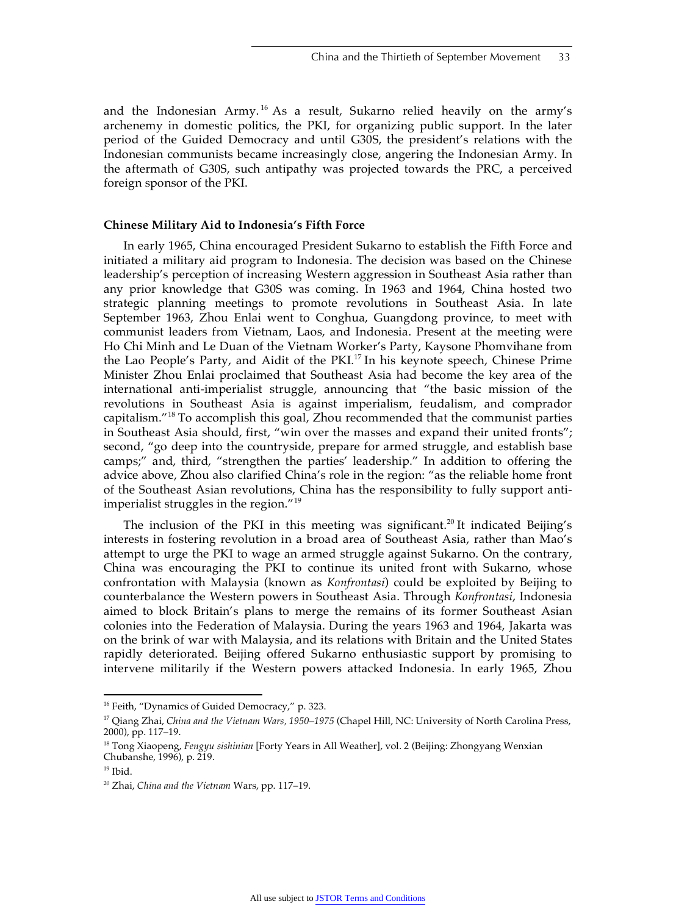and the Indonesian Army.<sup>16</sup> As a result, Sukarno relied heavily on the army's archenemy in domestic politics, the PKI, for organizing public support. In the later period of the Guided Democracy and until G30S, the president's relations with the Indonesian communists became increasingly close, angering the Indonesian Army. In the aftermath of G30S, such antipathy was projected towards the PRC, a perceived foreign sponsor of the PKI.

#### **Chinese Military Aid to Indonesia's Fifth Force**

In early 1965, China encouraged President Sukarno to establish the Fifth Force and initiated a military aid program to Indonesia. The decision was based on the Chinese leadership's perception of increasing Western aggression in Southeast Asia rather than any prior knowledge that G30S was coming. In 1963 and 1964, China hosted two strategic planning meetings to promote revolutions in Southeast Asia. In late September 1963, Zhou Enlai went to Conghua, Guangdong province, to meet with communist leaders from Vietnam, Laos, and Indonesia. Present at the meeting were Ho Chi Minh and Le Duan of the Vietnam Worker's Party, Kaysone Phomvihane from the Lao People's Party, and Aidit of the PKI.<sup>17</sup> In his keynote speech, Chinese Prime Minister Zhou Enlai proclaimed that Southeast Asia had become the key area of the international anti-imperialist struggle, announcing that "the basic mission of the revolutions in Southeast Asia is against imperialism, feudalism, and comprador capitalism."18 To accomplish this goal, Zhou recommended that the communist parties in Southeast Asia should, first, "win over the masses and expand their united fronts"; second, "go deep into the countryside, prepare for armed struggle, and establish base camps;" and, third, "strengthen the parties' leadership." In addition to offering the advice above, Zhou also clarified China's role in the region: "as the reliable home front of the Southeast Asian revolutions, China has the responsibility to fully support antiimperialist struggles in the region." $19$ 

The inclusion of the PKI in this meeting was significant.<sup>20</sup> It indicated Beijing's interests in fostering revolution in a broad area of Southeast Asia, rather than Mao's attempt to urge the PKI to wage an armed struggle against Sukarno. On the contrary, China was encouraging the PKI to continue its united front with Sukarno, whose confrontation with Malaysia (known as *Konfrontasi*) could be exploited by Beijing to counterbalance the Western powers in Southeast Asia. Through *Konfrontasi*, Indonesia aimed to block Britain's plans to merge the remains of its former Southeast Asian colonies into the Federation of Malaysia. During the years 1963 and 1964, Jakarta was on the brink of war with Malaysia, and its relations with Britain and the United States rapidly deteriorated. Beijing offered Sukarno enthusiastic support by promising to intervene militarily if the Western powers attacked Indonesia. In early 1965, Zhou

<sup>&</sup>lt;sup>16</sup> Feith, "Dynamics of Guided Democracy," p. 323.

<sup>17</sup> Qiang Zhai, *China and the Vietnam Wars, 1950–1975* (Chapel Hill, NC: University of North Carolina Press, 2000), pp. 117–19.

<sup>18</sup> Tong Xiaopeng, *Fengyu sishinian* [Forty Years in All Weather], vol. 2 (Beijing: Zhongyang Wenxian Chubanshe, 1996), p. 219.

 $19$  Ibid.

<sup>20</sup> Zhai, *China and the Vietnam* Wars, pp. 117–19.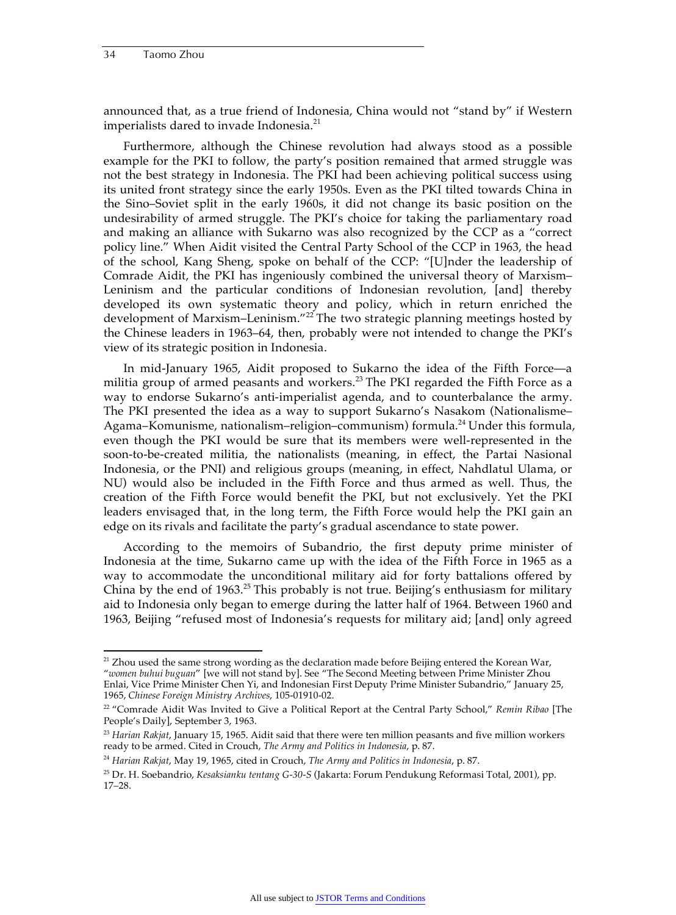announced that, as a true friend of Indonesia, China would not "stand by" if Western imperialists dared to invade Indonesia.<sup>21</sup>

Furthermore, although the Chinese revolution had always stood as a possible example for the PKI to follow, the party's position remained that armed struggle was not the best strategy in Indonesia. The PKI had been achieving political success using its united front strategy since the early 1950s. Even as the PKI tilted towards China in the Sino–Soviet split in the early 1960s, it did not change its basic position on the undesirability of armed struggle. The PKI's choice for taking the parliamentary road and making an alliance with Sukarno was also recognized by the CCP as a "correct policy line." When Aidit visited the Central Party School of the CCP in 1963, the head of the school, Kang Sheng, spoke on behalf of the CCP: "[U]nder the leadership of Comrade Aidit, the PKI has ingeniously combined the universal theory of Marxism– Leninism and the particular conditions of Indonesian revolution, [and] thereby developed its own systematic theory and policy, which in return enriched the development of Marxism–Leninism."<sup>22</sup> The two strategic planning meetings hosted by the Chinese leaders in 1963–64, then, probably were not intended to change the PKI's view of its strategic position in Indonesia.

In mid-January 1965, Aidit proposed to Sukarno the idea of the Fifth Force—a militia group of armed peasants and workers.<sup>23</sup> The PKI regarded the Fifth Force as a way to endorse Sukarno's anti-imperialist agenda, and to counterbalance the army. The PKI presented the idea as a way to support Sukarno's Nasakom (Nationalisme– Agama–Komunisme, nationalism–religion–communism) formula.<sup>24</sup> Under this formula, even though the PKI would be sure that its members were well-represented in the soon-to-be-created militia, the nationalists (meaning, in effect, the Partai Nasional Indonesia, or the PNI) and religious groups (meaning, in effect, Nahdlatul Ulama, or NU) would also be included in the Fifth Force and thus armed as well. Thus, the creation of the Fifth Force would benefit the PKI, but not exclusively. Yet the PKI leaders envisaged that, in the long term, the Fifth Force would help the PKI gain an edge on its rivals and facilitate the party's gradual ascendance to state power.

According to the memoirs of Subandrio, the first deputy prime minister of Indonesia at the time, Sukarno came up with the idea of the Fifth Force in 1965 as a way to accommodate the unconditional military aid for forty battalions offered by China by the end of 1963.<sup>25</sup> This probably is not true. Beijing's enthusiasm for military aid to Indonesia only began to emerge during the latter half of 1964. Between 1960 and 1963, Beijing "refused most of Indonesia's requests for military aid; [and] only agreed

<sup>&</sup>lt;sup>21</sup> Zhou used the same strong wording as the declaration made before Beijing entered the Korean War, "*women buhui buguan*" [we will not stand by]. See "The Second Meeting between Prime Minister Zhou Enlai, Vice Prime Minister Chen Yi, and Indonesian First Deputy Prime Minister Subandrio," January 25, 1965, *Chinese Foreign Ministry Archives*, 105-01910-02.

<sup>22 &</sup>quot;Comrade Aidit Was Invited to Give a Political Report at the Central Party School," *Remin Ribao* [The People's Daily], September 3, 1963.

<sup>23</sup> *Harian Rakjat*, January 15, 1965. Aidit said that there were ten million peasants and five million workers ready to be armed. Cited in Crouch, *The Army and Politics in Indonesia*, p. 87.

<sup>24</sup> *Harian Rakjat*, May 19, 1965, cited in Crouch, *The Army and Politics in Indonesia*, p. 87.

<sup>25</sup> Dr. H. Soebandrio, *Kesaksianku tentang G-30-S* (Jakarta: Forum Pendukung Reformasi Total, 2001), pp. 17–28.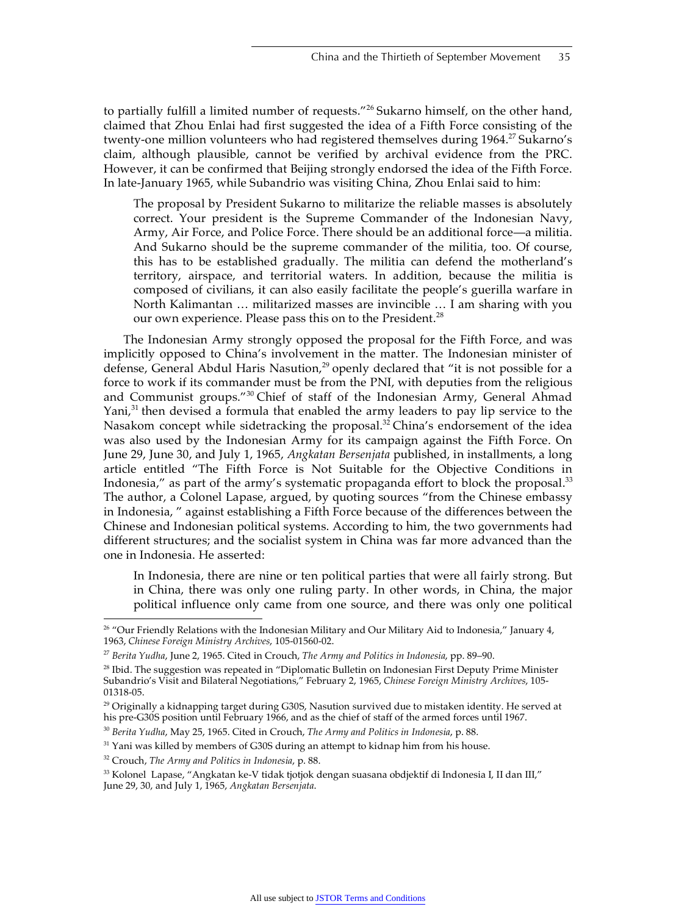to partially fulfill a limited number of requests."<sup>26</sup> Sukarno himself, on the other hand, claimed that Zhou Enlai had first suggested the idea of a Fifth Force consisting of the twenty-one million volunteers who had registered themselves during 1964.<sup>27</sup> Sukarno's claim, although plausible, cannot be verified by archival evidence from the PRC. However, it can be confirmed that Beijing strongly endorsed the idea of the Fifth Force. In late-January 1965, while Subandrio was visiting China, Zhou Enlai said to him:

The proposal by President Sukarno to militarize the reliable masses is absolutely correct. Your president is the Supreme Commander of the Indonesian Navy, Army, Air Force, and Police Force. There should be an additional force—a militia. And Sukarno should be the supreme commander of the militia, too. Of course, this has to be established gradually. The militia can defend the motherland's territory, airspace, and territorial waters. In addition, because the militia is composed of civilians, it can also easily facilitate the people's guerilla warfare in North Kalimantan … militarized masses are invincible … I am sharing with you our own experience. Please pass this on to the President.<sup>28</sup>

The Indonesian Army strongly opposed the proposal for the Fifth Force, and was implicitly opposed to China's involvement in the matter. The Indonesian minister of defense, General Abdul Haris Nasution, $^{29}$  openly declared that "it is not possible for a force to work if its commander must be from the PNI, with deputies from the religious and Communist groups."30 Chief of staff of the Indonesian Army, General Ahmad Yani, $31$  then devised a formula that enabled the army leaders to pay lip service to the Nasakom concept while sidetracking the proposal. $32$  China's endorsement of the idea was also used by the Indonesian Army for its campaign against the Fifth Force. On June 29, June 30, and July 1, 1965, *Angkatan Bersenjata* published, in installments, a long article entitled "The Fifth Force is Not Suitable for the Objective Conditions in Indonesia," as part of the army's systematic propaganda effort to block the proposal. $33$ The author, a Colonel Lapase, argued, by quoting sources "from the Chinese embassy in Indonesia, " against establishing a Fifth Force because of the differences between the Chinese and Indonesian political systems. According to him, the two governments had different structures; and the socialist system in China was far more advanced than the one in Indonesia. He asserted:

In Indonesia, there are nine or ten political parties that were all fairly strong. But in China, there was only one ruling party. In other words, in China, the major political influence only came from one source, and there was only one political

<sup>&</sup>lt;sup>26</sup> "Our Friendly Relations with the Indonesian Military and Our Military Aid to Indonesia," January 4, 1963, *Chinese Foreign Ministry Archives*, 105-01560-02.

<sup>27</sup> *Berita Yudha*, June 2, 1965. Cited in Crouch, *The Army and Politics in Indonesia*, pp. 89–90.

 $^{28}$  Ibid. The suggestion was repeated in "Diplomatic Bulletin on Indonesian First Deputy Prime Minister Subandrio's Visit and Bilateral Negotiations," February 2, 1965, *Chinese Foreign Ministry Archives*, 105- 01318-05.

 $29$  Originally a kidnapping target during G30S, Nasution survived due to mistaken identity. He served at his pre-G30S position until February 1966, and as the chief of staff of the armed forces until 1967.

<sup>30</sup> *Berita Yudha*, May 25, 1965. Cited in Crouch, *The Army and Politics in Indonesia*, p. 88.

<sup>&</sup>lt;sup>31</sup> Yani was killed by members of G30S during an attempt to kidnap him from his house.

<sup>32</sup> Crouch, *The Army and Politics in Indonesia*, p. 88.

<sup>&</sup>lt;sup>33</sup> Kolonel Lapase, "Angkatan ke-V tidak tjotjok dengan suasana obdjektif di Indonesia I, II dan III," June 29, 30, and July 1, 1965, *Angkatan Bersenjata*.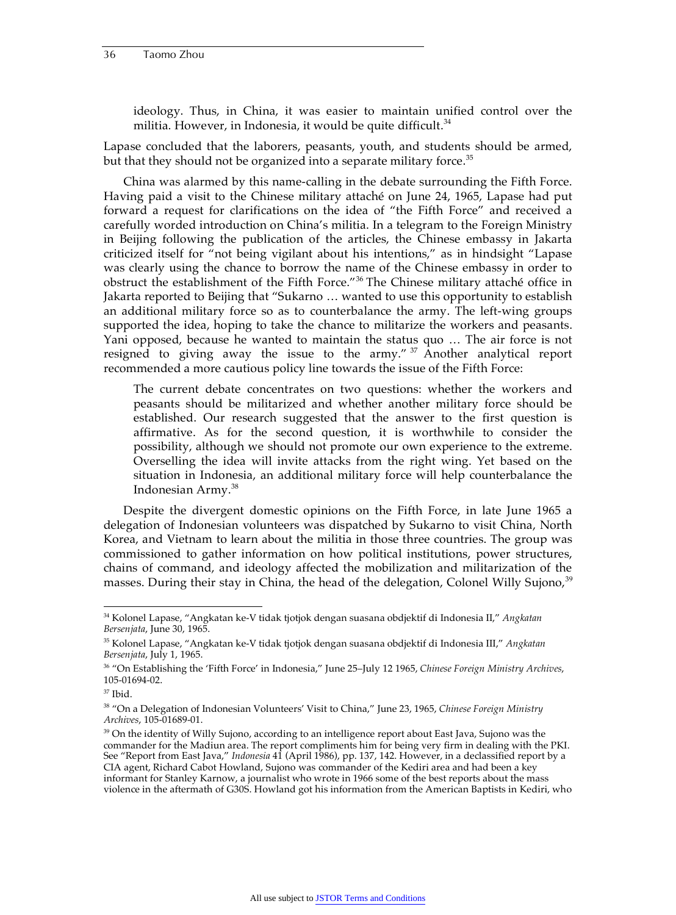ideology. Thus, in China, it was easier to maintain unified control over the militia. However, in Indonesia, it would be quite difficult.  $34$ 

Lapase concluded that the laborers, peasants, youth, and students should be armed, but that they should not be organized into a separate military force.<sup>35</sup>

China was alarmed by this name-calling in the debate surrounding the Fifth Force. Having paid a visit to the Chinese military attaché on June 24, 1965, Lapase had put forward a request for clarifications on the idea of "the Fifth Force" and received a carefully worded introduction on China's militia. In a telegram to the Foreign Ministry in Beijing following the publication of the articles, the Chinese embassy in Jakarta criticized itself for "not being vigilant about his intentions," as in hindsight "Lapase was clearly using the chance to borrow the name of the Chinese embassy in order to obstruct the establishment of the Fifth Force."36 The Chinese military attaché office in Jakarta reported to Beijing that "Sukarno … wanted to use this opportunity to establish an additional military force so as to counterbalance the army. The left-wing groups supported the idea, hoping to take the chance to militarize the workers and peasants. Yani opposed, because he wanted to maintain the status quo … The air force is not resigned to giving away the issue to the army." <sup>37</sup> Another analytical report recommended a more cautious policy line towards the issue of the Fifth Force:

The current debate concentrates on two questions: whether the workers and peasants should be militarized and whether another military force should be established. Our research suggested that the answer to the first question is affirmative. As for the second question, it is worthwhile to consider the possibility, although we should not promote our own experience to the extreme. Overselling the idea will invite attacks from the right wing. Yet based on the situation in Indonesia, an additional military force will help counterbalance the Indonesian Army.<sup>38</sup>

Despite the divergent domestic opinions on the Fifth Force, in late June 1965 a delegation of Indonesian volunteers was dispatched by Sukarno to visit China, North Korea, and Vietnam to learn about the militia in those three countries. The group was commissioned to gather information on how political institutions, power structures, chains of command, and ideology affected the mobilization and militarization of the masses. During their stay in China, the head of the delegation, Colonel Willy Sujono,<sup>39</sup>

 <sup>34</sup> Kolonel Lapase, "Angkatan ke-V tidak tjotjok dengan suasana obdjektif di Indonesia II," *Angkatan Bersenjata*, June 30, 1965.

<sup>35</sup> Kolonel Lapase, "Angkatan ke-V tidak tjotjok dengan suasana obdjektif di Indonesia III," *Angkatan Bersenjata*, July 1, 1965.

<sup>36 &</sup>quot;On Establishing the 'Fifth Force' in Indonesia," June 25–July 12 1965, *Chinese Foreign Ministry Archives*, 105-01694-02.

 $37$  Ibid.

<sup>38 &</sup>quot;On a Delegation of Indonesian Volunteers' Visit to China," June 23, 1965, *Chinese Foreign Ministry Archives*, 105-01689-01.

<sup>&</sup>lt;sup>39</sup> On the identity of Willy Sujono, according to an intelligence report about East Java, Sujono was the commander for the Madiun area. The report compliments him for being very firm in dealing with the PKI. See "Report from East Java," *Indonesia* 41 (April 1986), pp. 137, 142. However, in a declassified report by a CIA agent, Richard Cabot Howland, Sujono was commander of the Kediri area and had been a key informant for Stanley Karnow, a journalist who wrote in 1966 some of the best reports about the mass violence in the aftermath of G30S. Howland got his information from the American Baptists in Kediri, who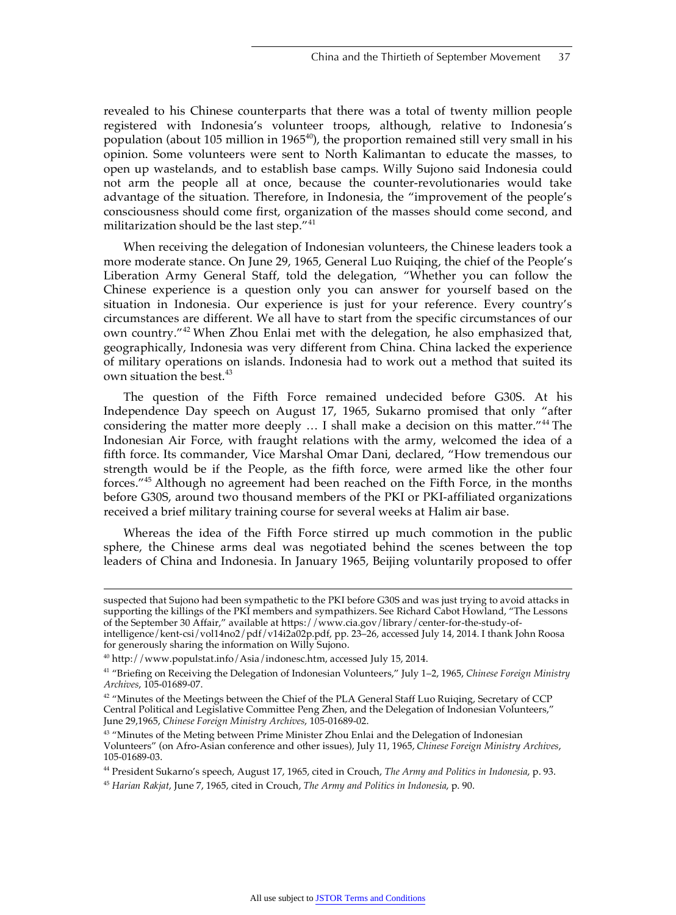revealed to his Chinese counterparts that there was a total of twenty million people registered with Indonesia's volunteer troops, although, relative to Indonesia's population (about 105 million in 1965 $40$ ), the proportion remained still very small in his opinion. Some volunteers were sent to North Kalimantan to educate the masses, to open up wastelands, and to establish base camps. Willy Sujono said Indonesia could not arm the people all at once, because the counter-revolutionaries would take advantage of the situation. Therefore, in Indonesia, the "improvement of the people's consciousness should come first, organization of the masses should come second, and militarization should be the last step." $41$ 

When receiving the delegation of Indonesian volunteers, the Chinese leaders took a more moderate stance. On June 29, 1965, General Luo Ruiqing, the chief of the People's Liberation Army General Staff, told the delegation, "Whether you can follow the Chinese experience is a question only you can answer for yourself based on the situation in Indonesia. Our experience is just for your reference. Every country's circumstances are different. We all have to start from the specific circumstances of our own country."<sup>42</sup> When Zhou Enlai met with the delegation, he also emphasized that, geographically, Indonesia was very different from China. China lacked the experience of military operations on islands. Indonesia had to work out a method that suited its own situation the best.<sup>43</sup>

The question of the Fifth Force remained undecided before G30S. At his Independence Day speech on August 17, 1965, Sukarno promised that only "after considering the matter more deeply ... I shall make a decision on this matter."<sup>44</sup> The Indonesian Air Force, with fraught relations with the army, welcomed the idea of a fifth force. Its commander, Vice Marshal Omar Dani, declared, "How tremendous our strength would be if the People, as the fifth force, were armed like the other four forces."45 Although no agreement had been reached on the Fifth Force, in the months before G30S, around two thousand members of the PKI or PKI-affiliated organizations received a brief military training course for several weeks at Halim air base.

Whereas the idea of the Fifth Force stirred up much commotion in the public sphere, the Chinese arms deal was negotiated behind the scenes between the top leaders of China and Indonesia. In January 1965, Beijing voluntarily proposed to offer

j

suspected that Sujono had been sympathetic to the PKI before G30S and was just trying to avoid attacks in supporting the killings of the PKI members and sympathizers. See Richard Cabot Howland, "The Lessons of the September 30 Affair," available at https://www.cia.gov/library/center-for-the-study-of-

intelligence/kent-csi/vol14no2/pdf/v14i2a02p.pdf, pp. 23–26, accessed July 14, 2014. I thank John Roosa for generously sharing the information on Willy Sujono.

<sup>40</sup> http://www.populstat.info/Asia/indonesc.htm, accessed July 15, 2014.

<sup>41 &</sup>quot;Briefing on Receiving the Delegation of Indonesian Volunteers," July 1–2, 1965, *Chinese Foreign Ministry Archives*, 105-01689-07.

<sup>&</sup>lt;sup>42</sup> "Minutes of the Meetings between the Chief of the PLA General Staff Luo Ruiqing, Secretary of CCP Central Political and Legislative Committee Peng Zhen, and the Delegation of Indonesian Volunteers," June 29,1965, *Chinese Foreign Ministry Archives*, 105-01689-02.

<sup>&</sup>lt;sup>43</sup> "Minutes of the Meting between Prime Minister Zhou Enlai and the Delegation of Indonesian Volunteers" (on Afro-Asian conference and other issues), July 11, 1965, *Chinese Foreign Ministry Archives*, 105-01689-03.

<sup>44</sup> President Sukarno's speech, August 17, 1965, cited in Crouch, *The Army and Politics in Indonesia*, p. 93.

<sup>45</sup> *Harian Rakjat*, June 7, 1965, cited in Crouch, *The Army and Politics in Indonesia*, p. 90.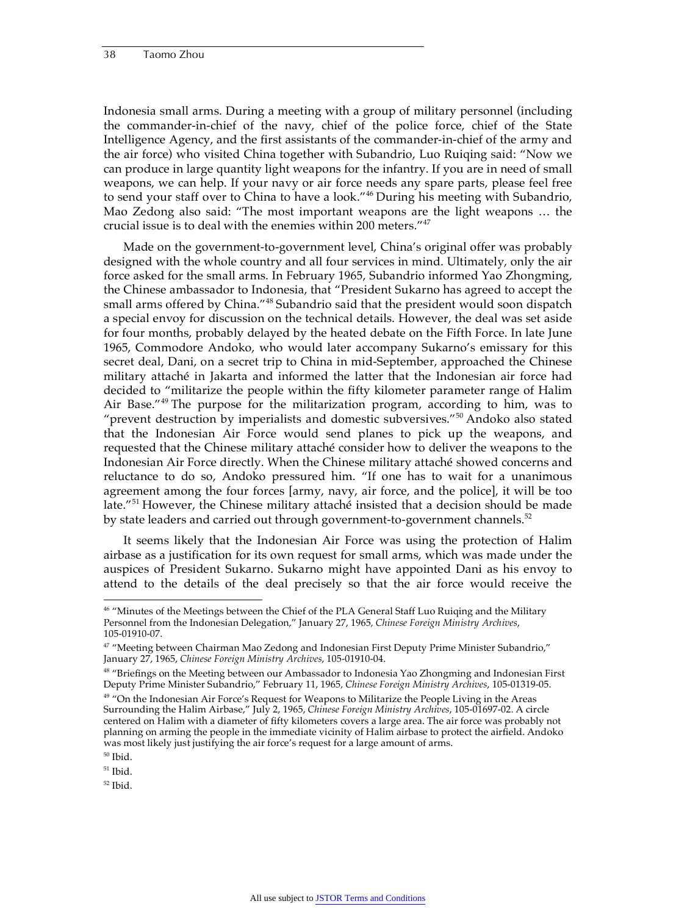Indonesia small arms. During a meeting with a group of military personnel (including the commander-in-chief of the navy, chief of the police force, chief of the State Intelligence Agency, and the first assistants of the commander-in-chief of the army and the air force) who visited China together with Subandrio, Luo Ruiqing said: "Now we can produce in large quantity light weapons for the infantry. If you are in need of small weapons, we can help. If your navy or air force needs any spare parts, please feel free to send your staff over to China to have a look."<sup>46</sup> During his meeting with Subandrio, Mao Zedong also said: "The most important weapons are the light weapons … the crucial issue is to deal with the enemies within 200 meters."<sup>47</sup>

Made on the government-to-government level, China's original offer was probably designed with the whole country and all four services in mind. Ultimately, only the air force asked for the small arms. In February 1965, Subandrio informed Yao Zhongming, the Chinese ambassador to Indonesia, that "President Sukarno has agreed to accept the small arms offered by China."<sup>48</sup> Subandrio said that the president would soon dispatch a special envoy for discussion on the technical details. However, the deal was set aside for four months, probably delayed by the heated debate on the Fifth Force. In late June 1965, Commodore Andoko, who would later accompany Sukarno's emissary for this secret deal, Dani, on a secret trip to China in mid-September, approached the Chinese military attaché in Jakarta and informed the latter that the Indonesian air force had decided to "militarize the people within the fifty kilometer parameter range of Halim Air Base."<sup>49</sup> The purpose for the militarization program, according to him, was to "prevent destruction by imperialists and domestic subversives."50 Andoko also stated that the Indonesian Air Force would send planes to pick up the weapons, and requested that the Chinese military attaché consider how to deliver the weapons to the Indonesian Air Force directly. When the Chinese military attaché showed concerns and reluctance to do so, Andoko pressured him. "If one has to wait for a unanimous agreement among the four forces [army, navy, air force, and the police], it will be too late."<sup>51</sup> However, the Chinese military attaché insisted that a decision should be made by state leaders and carried out through government-to-government channels.<sup>52</sup>

It seems likely that the Indonesian Air Force was using the protection of Halim airbase as a justification for its own request for small arms, which was made under the auspices of President Sukarno. Sukarno might have appointed Dani as his envoy to attend to the details of the deal precisely so that the air force would receive the

 $52$  Ibid.

<sup>&</sup>lt;sup>46</sup> "Minutes of the Meetings between the Chief of the PLA General Staff Luo Ruiqing and the Military Personnel from the Indonesian Delegation," January 27, 1965*, Chinese Foreign Ministry Archives*, 105-01910-07.

<sup>&</sup>lt;sup>47</sup> "Meeting between Chairman Mao Zedong and Indonesian First Deputy Prime Minister Subandrio," January 27, 1965, *Chinese Foreign Ministry Archives*, 105-01910-04.

<sup>&</sup>lt;sup>48</sup> "Briefings on the Meeting between our Ambassador to Indonesia Yao Zhongming and Indonesian First Deputy Prime Minister Subandrio," February 11, 1965*, Chinese Foreign Ministry Archives*, 105-01319-05.

 $49$  "On the Indonesian Air Force's Request for Weapons to Militarize the People Living in the Areas Surrounding the Halim Airbase," July 2, 1965, *Chinese Foreign Ministry Archives*, 105-01697-02. A circle centered on Halim with a diameter of fifty kilometers covers a large area. The air force was probably not planning on arming the people in the immediate vicinity of Halim airbase to protect the airfield. Andoko was most likely just justifying the air force's request for a large amount of arms.

<sup>50</sup> Ibid.

 $51$  Ibid.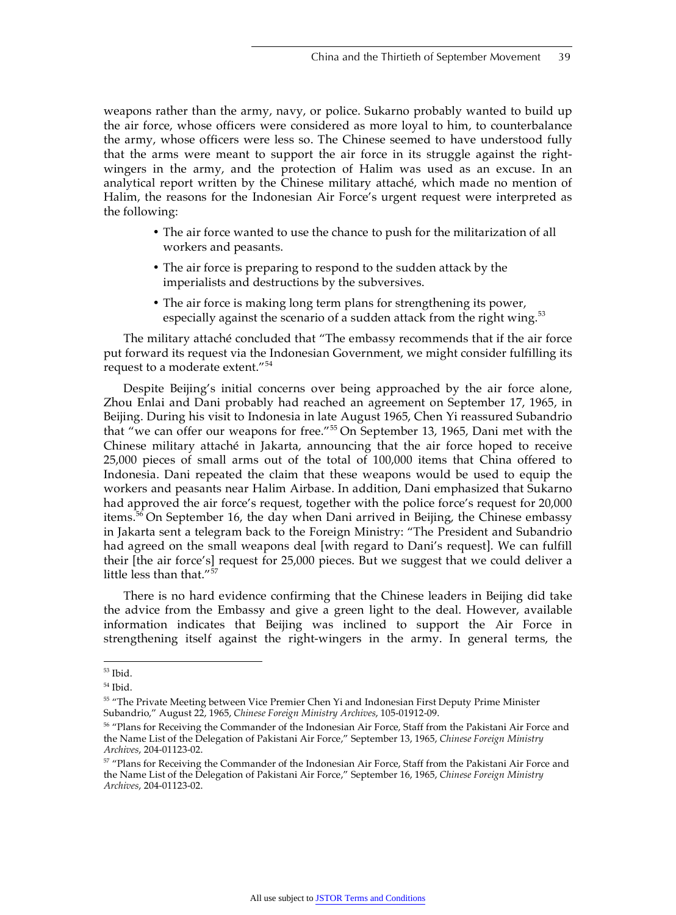weapons rather than the army, navy, or police. Sukarno probably wanted to build up the air force, whose officers were considered as more loyal to him, to counterbalance the army, whose officers were less so. The Chinese seemed to have understood fully that the arms were meant to support the air force in its struggle against the rightwingers in the army, and the protection of Halim was used as an excuse. In an analytical report written by the Chinese military attaché, which made no mention of Halim, the reasons for the Indonesian Air Force's urgent request were interpreted as the following:

- The air force wanted to use the chance to push for the militarization of all workers and peasants.
- The air force is preparing to respond to the sudden attack by the imperialists and destructions by the subversives.
- The air force is making long term plans for strengthening its power, especially against the scenario of a sudden attack from the right wing.<sup>53</sup>

The military attaché concluded that "The embassy recommends that if the air force put forward its request via the Indonesian Government, we might consider fulfilling its request to a moderate extent."<sup>54</sup>

Despite Beijing's initial concerns over being approached by the air force alone, Zhou Enlai and Dani probably had reached an agreement on September 17, 1965, in Beijing. During his visit to Indonesia in late August 1965, Chen Yi reassured Subandrio that "we can offer our weapons for free."<sup>55</sup> On September 13, 1965, Dani met with the Chinese military attaché in Jakarta, announcing that the air force hoped to receive 25,000 pieces of small arms out of the total of 100,000 items that China offered to Indonesia. Dani repeated the claim that these weapons would be used to equip the workers and peasants near Halim Airbase. In addition, Dani emphasized that Sukarno had approved the air force's request, together with the police force's request for 20,000 items.<sup>56</sup> On September 16, the day when Dani arrived in Beijing, the Chinese embassy in Jakarta sent a telegram back to the Foreign Ministry: "The President and Subandrio had agreed on the small weapons deal [with regard to Dani's request]. We can fulfill their [the air force's] request for 25,000 pieces. But we suggest that we could deliver a little less than that."<sup>57</sup>

There is no hard evidence confirming that the Chinese leaders in Beijing did take the advice from the Embassy and give a green light to the deal. However, available information indicates that Beijing was inclined to support the Air Force in strengthening itself against the right-wingers in the army. In general terms, the

 $^{53}$  Ibid.

<sup>54</sup> Ibid.

<sup>55 &</sup>quot;The Private Meeting between Vice Premier Chen Yi and Indonesian First Deputy Prime Minister Subandrio," August 22, 1965, *Chinese Foreign Ministry Archives*, 105-01912-09.

<sup>56 &</sup>quot;Plans for Receiving the Commander of the Indonesian Air Force, Staff from the Pakistani Air Force and the Name List of the Delegation of Pakistani Air Force," September 13, 1965, *Chinese Foreign Ministry Archives*, 204-01123-02.

<sup>&</sup>lt;sup>57</sup> "Plans for Receiving the Commander of the Indonesian Air Force, Staff from the Pakistani Air Force and the Name List of the Delegation of Pakistani Air Force," September 16, 1965, *Chinese Foreign Ministry Archives*, 204-01123-02.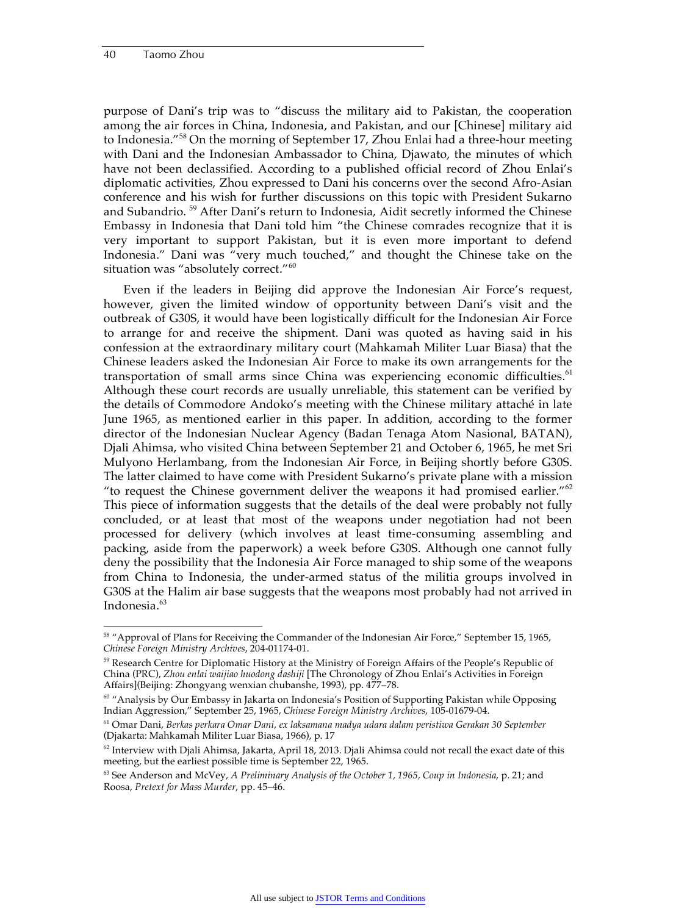purpose of Dani's trip was to "discuss the military aid to Pakistan, the cooperation among the air forces in China, Indonesia, and Pakistan, and our [Chinese] military aid to Indonesia."58 On the morning of September 17, Zhou Enlai had a three-hour meeting with Dani and the Indonesian Ambassador to China, Djawato, the minutes of which have not been declassified. According to a published official record of Zhou Enlai's diplomatic activities, Zhou expressed to Dani his concerns over the second Afro-Asian conference and his wish for further discussions on this topic with President Sukarno and Subandrio.<sup>59</sup> After Dani's return to Indonesia, Aidit secretly informed the Chinese Embassy in Indonesia that Dani told him "the Chinese comrades recognize that it is very important to support Pakistan, but it is even more important to defend Indonesia." Dani was "very much touched," and thought the Chinese take on the situation was "absolutely correct."<sup>60</sup>

Even if the leaders in Beijing did approve the Indonesian Air Force's request, however, given the limited window of opportunity between Dani's visit and the outbreak of G30S, it would have been logistically difficult for the Indonesian Air Force to arrange for and receive the shipment. Dani was quoted as having said in his confession at the extraordinary military court (Mahkamah Militer Luar Biasa) that the Chinese leaders asked the Indonesian Air Force to make its own arrangements for the transportation of small arms since China was experiencing economic difficulties.<sup>61</sup> Although these court records are usually unreliable, this statement can be verified by the details of Commodore Andoko's meeting with the Chinese military attaché in late June 1965, as mentioned earlier in this paper. In addition, according to the former director of the Indonesian Nuclear Agency (Badan Tenaga Atom Nasional, BATAN), Djali Ahimsa, who visited China between September 21 and October 6, 1965, he met Sri Mulyono Herlambang, from the Indonesian Air Force, in Beijing shortly before G30S. The latter claimed to have come with President Sukarno's private plane with a mission "to request the Chinese government deliver the weapons it had promised earlier."<sup>62</sup> This piece of information suggests that the details of the deal were probably not fully concluded, or at least that most of the weapons under negotiation had not been processed for delivery (which involves at least time-consuming assembling and packing, aside from the paperwork) a week before G30S. Although one cannot fully deny the possibility that the Indonesia Air Force managed to ship some of the weapons from China to Indonesia, the under-armed status of the militia groups involved in G30S at the Halim air base suggests that the weapons most probably had not arrived in Indonesia.<sup>63</sup>

<sup>&</sup>lt;sup>58</sup> "Approval of Plans for Receiving the Commander of the Indonesian Air Force," September 15, 1965, *Chinese Foreign Ministry Archives*, 204-01174-01.

<sup>&</sup>lt;sup>59</sup> Research Centre for Diplomatic History at the Ministry of Foreign Affairs of the People's Republic of China (PRC), *Zhou enlai waijiao huodong dashiji* [The Chronology of Zhou Enlai's Activities in Foreign Affairs](Beijing: Zhongyang wenxian chubanshe, 1993), pp. 477–78.

<sup>&</sup>lt;sup>60</sup> "Analysis by Our Embassy in Jakarta on Indonesia's Position of Supporting Pakistan while Opposing Indian Aggression," September 25, 1965, *Chinese Foreign Ministry Archives*, 105-01679-04.

<sup>61</sup> Omar Dani, *Berkas perkara Omar Dani, ex laksamana madya udara dalam peristiwa Gerakan 30 September* (Djakarta: Mahkamah Militer Luar Biasa, 1966), p. 17

 $62$  Interview with Djali Ahimsa, Jakarta, April 18, 2013. Djali Ahimsa could not recall the exact date of this meeting, but the earliest possible time is September 22, 1965.

<sup>63</sup> See Anderson and McVey, *A Preliminary Analysis of the October 1, 1965, Coup in Indonesia*, p. 21; and Roosa, *Pretext for Mass Murder*, pp. 45–46.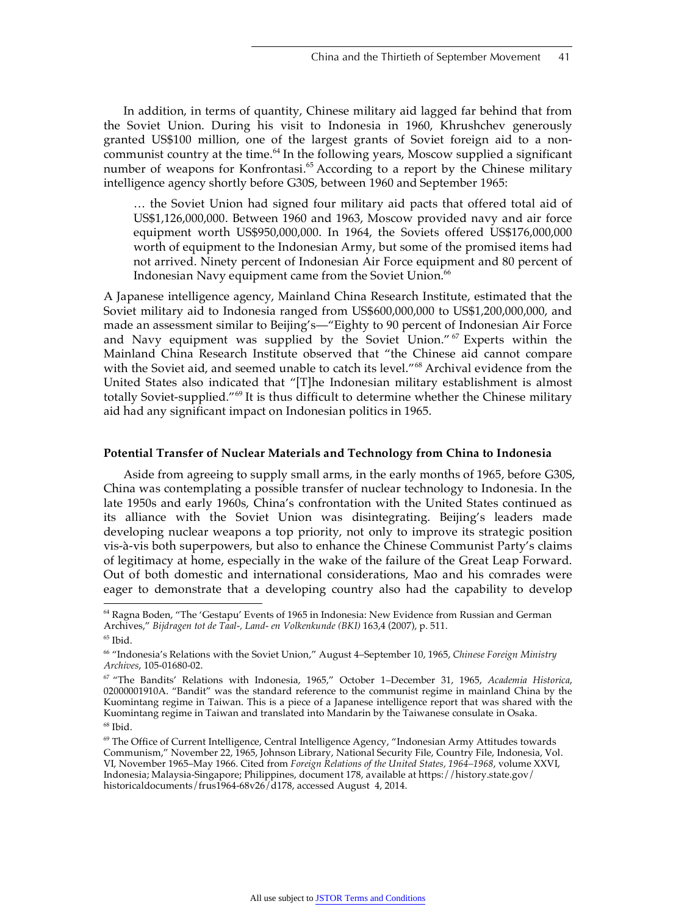In addition, in terms of quantity, Chinese military aid lagged far behind that from the Soviet Union. During his visit to Indonesia in 1960, Khrushchev generously granted US\$100 million, one of the largest grants of Soviet foreign aid to a noncommunist country at the time. $^{64}$  In the following years, Moscow supplied a significant number of weapons for Konfrontasi.<sup>65</sup> According to a report by the Chinese military intelligence agency shortly before G30S, between 1960 and September 1965:

… the Soviet Union had signed four military aid pacts that offered total aid of US\$1,126,000,000. Between 1960 and 1963, Moscow provided navy and air force equipment worth US\$950,000,000. In 1964, the Soviets offered US\$176,000,000 worth of equipment to the Indonesian Army, but some of the promised items had not arrived. Ninety percent of Indonesian Air Force equipment and 80 percent of Indonesian Navy equipment came from the Soviet Union.<sup>66</sup>

A Japanese intelligence agency, Mainland China Research Institute, estimated that the Soviet military aid to Indonesia ranged from US\$600,000,000 to US\$1,200,000,000, and made an assessment similar to Beijing's—"Eighty to 90 percent of Indonesian Air Force and Navy equipment was supplied by the Soviet Union."<sup>67</sup> Experts within the Mainland China Research Institute observed that "the Chinese aid cannot compare with the Soviet aid, and seemed unable to catch its level."<sup>68</sup> Archival evidence from the United States also indicated that "[T]he Indonesian military establishment is almost totally Soviet-supplied."69 It is thus difficult to determine whether the Chinese military aid had any significant impact on Indonesian politics in 1965.

#### **Potential Transfer of Nuclear Materials and Technology from China to Indonesia**

Aside from agreeing to supply small arms, in the early months of 1965, before G30S, China was contemplating a possible transfer of nuclear technology to Indonesia. In the late 1950s and early 1960s, China's confrontation with the United States continued as its alliance with the Soviet Union was disintegrating. Beijing's leaders made developing nuclear weapons a top priority, not only to improve its strategic position vis-à-vis both superpowers, but also to enhance the Chinese Communist Party's claims of legitimacy at home, especially in the wake of the failure of the Great Leap Forward. Out of both domestic and international considerations, Mao and his comrades were eager to demonstrate that a developing country also had the capability to develop

 <sup>64</sup> Ragna Boden, "The 'Gestapu' Events of 1965 in Indonesia: New Evidence from Russian and German Archives," *Bijdragen tot de Taal-, Land- en Volkenkunde (BKI)* 163,4 (2007), p. 511.

 $^{65}$  Ibid.

<sup>66 &</sup>quot;Indonesia's Relations with the Soviet Union," August 4–September 10, 1965, *Chinese Foreign Ministry Archives*, 105-01680-02.

<sup>67 &</sup>quot;The Bandits' Relations with Indonesia, 1965," October 1–December 31, 1965, *Academia Historica*, 02000001910A. "Bandit" was the standard reference to the communist regime in mainland China by the Kuomintang regime in Taiwan. This is a piece of a Japanese intelligence report that was shared with the Kuomintang regime in Taiwan and translated into Mandarin by the Taiwanese consulate in Osaka.  $68$  Ibid.

<sup>69</sup> The Office of Current Intelligence, Central Intelligence Agency, "Indonesian Army Attitudes towards Communism," November 22, 1965, Johnson Library, National Security File, Country File, Indonesia, Vol. VI, November 1965–May 1966. Cited from *Foreign Relations of the United States, 1964–1968*, volume XXVI, Indonesia; Malaysia-Singapore; Philippines, document 178, available at https://history.state.gov/ historicaldocuments/frus1964-68v26/d178, accessed August 4, 2014.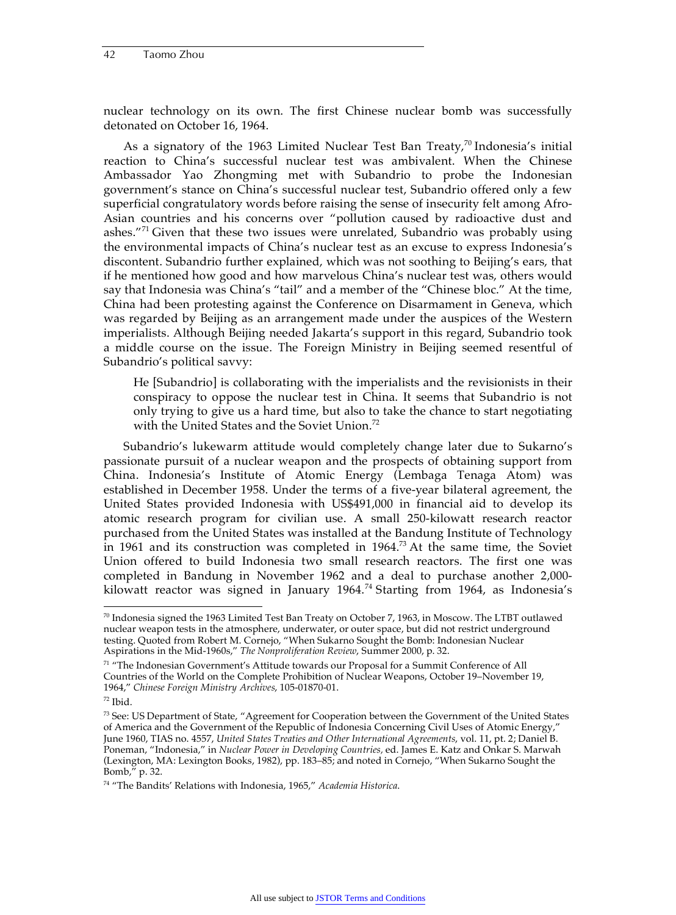nuclear technology on its own. The first Chinese nuclear bomb was successfully detonated on October 16, 1964.

As a signatory of the 1963 Limited Nuclear Test Ban Treaty, $70$  Indonesia's initial reaction to China's successful nuclear test was ambivalent. When the Chinese Ambassador Yao Zhongming met with Subandrio to probe the Indonesian government's stance on China's successful nuclear test, Subandrio offered only a few superficial congratulatory words before raising the sense of insecurity felt among Afro-Asian countries and his concerns over "pollution caused by radioactive dust and ashes."71 Given that these two issues were unrelated, Subandrio was probably using the environmental impacts of China's nuclear test as an excuse to express Indonesia's discontent. Subandrio further explained, which was not soothing to Beijing's ears, that if he mentioned how good and how marvelous China's nuclear test was, others would say that Indonesia was China's "tail" and a member of the "Chinese bloc." At the time, China had been protesting against the Conference on Disarmament in Geneva, which was regarded by Beijing as an arrangement made under the auspices of the Western imperialists. Although Beijing needed Jakarta's support in this regard, Subandrio took a middle course on the issue. The Foreign Ministry in Beijing seemed resentful of Subandrio's political savvy:

He [Subandrio] is collaborating with the imperialists and the revisionists in their conspiracy to oppose the nuclear test in China. It seems that Subandrio is not only trying to give us a hard time, but also to take the chance to start negotiating with the United States and the Soviet Union.<sup>72</sup>

Subandrio's lukewarm attitude would completely change later due to Sukarno's passionate pursuit of a nuclear weapon and the prospects of obtaining support from China. Indonesia's Institute of Atomic Energy (Lembaga Tenaga Atom) was established in December 1958. Under the terms of a five-year bilateral agreement, the United States provided Indonesia with US\$491,000 in financial aid to develop its atomic research program for civilian use. A small 250-kilowatt research reactor purchased from the United States was installed at the Bandung Institute of Technology in 1961 and its construction was completed in  $1964$ <sup>73</sup> At the same time, the Soviet Union offered to build Indonesia two small research reactors. The first one was completed in Bandung in November 1962 and a deal to purchase another 2,000 kilowatt reactor was signed in January 1964.<sup>74</sup> Starting from 1964, as Indonesia's

 $70$  Indonesia signed the 1963 Limited Test Ban Treaty on October 7, 1963, in Moscow. The LTBT outlawed nuclear weapon tests in the atmosphere, underwater, or outer space, but did not restrict underground testing. Quoted from Robert M. Cornejo, "When Sukarno Sought the Bomb: Indonesian Nuclear Aspirations in the Mid-1960s," *The Nonproliferation Review*, Summer 2000, p. 32.

<sup>&</sup>lt;sup>71</sup> "The Indonesian Government's Attitude towards our Proposal for a Summit Conference of All Countries of the World on the Complete Prohibition of Nuclear Weapons, October 19–November 19, 1964," *Chinese Foreign Ministry Archives*, 105-01870-01.

<sup>72</sup> Ibid.

 $73$  See: US Department of State, "Agreement for Cooperation between the Government of the United States of America and the Government of the Republic of Indonesia Concerning Civil Uses of Atomic Energy," June 1960, TIAS no. 4557, *United States Treaties and Other International Agreements*, vol. 11, pt. 2; Daniel B. Poneman, "Indonesia," in *Nuclear Power in Developing Countries,* ed. James E. Katz and Onkar S. Marwah (Lexington, MA: Lexington Books, 1982), pp. 183–85; and noted in Cornejo, "When Sukarno Sought the Bomb," p. 32.

<sup>74 &</sup>quot;The Bandits' Relations with Indonesia, 1965," *Academia Historica*.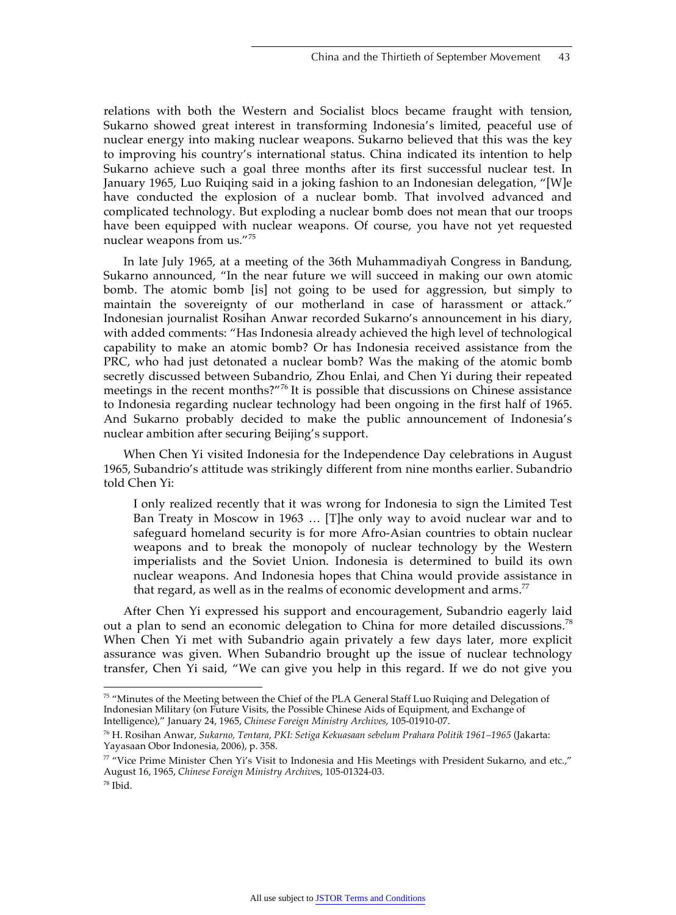relations with both the Western and Socialist blocs became fraught with tension, Sukarno showed great interest in transforming Indonesia's limited, peaceful use of nuclear energy into making nuclear weapons. Sukarno believed that this was the key to improving his country's international status. China indicated its intention to help Sukarno achieve such a goal three months after its first successful nuclear test. In January 1965, Luo Ruiqing said in a joking fashion to an Indonesian delegation, "[W]e have conducted the explosion of a nuclear bomb. That involved advanced and complicated technology. But exploding a nuclear bomb does not mean that our troops have been equipped with nuclear weapons. Of course, you have not yet requested nuclear weapons from us."<sup>75</sup>

In late July 1965, at a meeting of the 36th Muhammadiyah Congress in Bandung, Sukarno announced, "In the near future we will succeed in making our own atomic bomb. The atomic bomb [is] not going to be used for aggression, but simply to maintain the sovereignty of our motherland in case of harassment or attack." Indonesian journalist Rosihan Anwar recorded Sukarno's announcement in his diary, with added comments: "Has Indonesia already achieved the high level of technological capability to make an atomic bomb? Or has Indonesia received assistance from the PRC, who had just detonated a nuclear bomb? Was the making of the atomic bomb secretly discussed between Subandrio, Zhou Enlai, and Chen Yi during their repeated meetings in the recent months?"<sup>76</sup> It is possible that discussions on Chinese assistance to Indonesia regarding nuclear technology had been ongoing in the first half of 1965. And Sukarno probably decided to make the public announcement of Indonesia's nuclear ambition after securing Beijing's support.

When Chen Yi visited Indonesia for the Independence Day celebrations in August 1965, Subandrio's attitude was strikingly different from nine months earlier. Subandrio told Chen Yi:

I only realized recently that it was wrong for Indonesia to sign the Limited Test Ban Treaty in Moscow in 1963 … [T]he only way to avoid nuclear war and to safeguard homeland security is for more Afro-Asian countries to obtain nuclear weapons and to break the monopoly of nuclear technology by the Western imperialists and the Soviet Union. Indonesia is determined to build its own nuclear weapons. And Indonesia hopes that China would provide assistance in that regard, as well as in the realms of economic development and arms.<sup>77</sup>

After Chen Yi expressed his support and encouragement, Subandrio eagerly laid out a plan to send an economic delegation to China for more detailed discussions.<sup>78</sup> When Chen Yi met with Subandrio again privately a few days later, more explicit assurance was given. When Subandrio brought up the issue of nuclear technology transfer, Chen Yi said, "We can give you help in this regard. If we do not give you

76 H. Rosihan Anwar, *Sukarno, Tentara, PKI: Setiga Kekuasaan sebelum Prahara Politik 1961–1965* (Jakarta: Yayasaan Obor Indonesia, 2006), p. 358.

<sup>&</sup>lt;sup>75</sup> "Minutes of the Meeting between the Chief of the PLA General Staff Luo Ruiqing and Delegation of Indonesian Military (on Future Visits, the Possible Chinese Aids of Equipment, and Exchange of Intelligence)," January 24, 1965, *Chinese Foreign Ministry Archives*, 105-01910-07.

 $\frac{77}{10}$  "Vice Prime Minister Chen Yi's Visit to Indonesia and His Meetings with President Sukarno, and etc.," August 16, 1965, *Chinese Foreign Ministry Archive*s, 105-01324-03. 78 Ibid.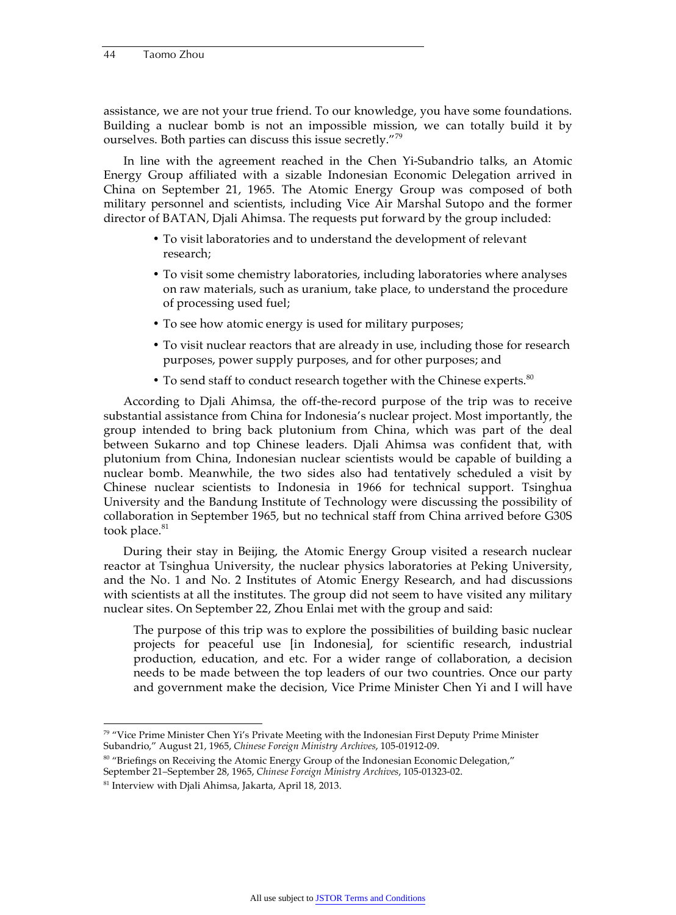assistance, we are not your true friend. To our knowledge, you have some foundations. Building a nuclear bomb is not an impossible mission, we can totally build it by ourselves. Both parties can discuss this issue secretly."<sup>79</sup>

In line with the agreement reached in the Chen Yi-Subandrio talks, an Atomic Energy Group affiliated with a sizable Indonesian Economic Delegation arrived in China on September 21, 1965. The Atomic Energy Group was composed of both military personnel and scientists, including Vice Air Marshal Sutopo and the former director of BATAN, Djali Ahimsa. The requests put forward by the group included:

- To visit laboratories and to understand the development of relevant research;
- To visit some chemistry laboratories, including laboratories where analyses on raw materials, such as uranium, take place, to understand the procedure of processing used fuel;
- To see how atomic energy is used for military purposes;
- To visit nuclear reactors that are already in use, including those for research purposes, power supply purposes, and for other purposes; and
- To send staff to conduct research together with the Chinese experts.<sup>80</sup>

According to Djali Ahimsa, the off-the-record purpose of the trip was to receive substantial assistance from China for Indonesia's nuclear project. Most importantly, the group intended to bring back plutonium from China, which was part of the deal between Sukarno and top Chinese leaders. Djali Ahimsa was confident that, with plutonium from China, Indonesian nuclear scientists would be capable of building a nuclear bomb. Meanwhile, the two sides also had tentatively scheduled a visit by Chinese nuclear scientists to Indonesia in 1966 for technical support. Tsinghua University and the Bandung Institute of Technology were discussing the possibility of collaboration in September 1965, but no technical staff from China arrived before G30S took place.<sup>81</sup>

During their stay in Beijing, the Atomic Energy Group visited a research nuclear reactor at Tsinghua University, the nuclear physics laboratories at Peking University, and the No. 1 and No. 2 Institutes of Atomic Energy Research, and had discussions with scientists at all the institutes. The group did not seem to have visited any military nuclear sites. On September 22, Zhou Enlai met with the group and said:

The purpose of this trip was to explore the possibilities of building basic nuclear projects for peaceful use [in Indonesia], for scientific research, industrial production, education, and etc. For a wider range of collaboration, a decision needs to be made between the top leaders of our two countries. Once our party and government make the decision, Vice Prime Minister Chen Yi and I will have

<sup>80</sup> "Briefings on Receiving the Atomic Energy Group of the Indonesian Economic Delegation," September 21–September 28, 1965, *Chinese Foreign Ministry Archives*, 105-01323-02.

 $79$  "Vice Prime Minister Chen Yi's Private Meeting with the Indonesian First Deputy Prime Minister Subandrio," August 21, 1965, *Chinese Foreign Ministry Archives*, 105-01912-09.

<sup>81</sup> Interview with Djali Ahimsa, Jakarta, April 18, 2013.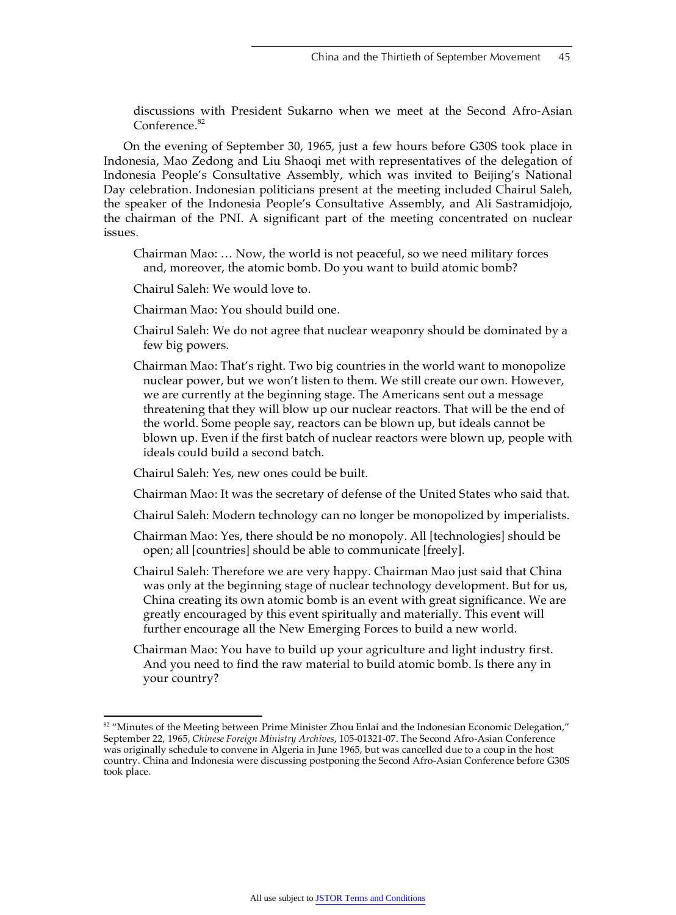discussions with President Sukarno when we meet at the Second Afro-Asian Conference.<sup>82</sup>

On the evening of September 30, 1965, just a few hours before G30S took place in Indonesia, Mao Zedong and Liu Shaoqi met with representatives of the delegation of Indonesia People's Consultative Assembly, which was invited to Beijing's National Day celebration. Indonesian politicians present at the meeting included Chairul Saleh, the speaker of the Indonesia People's Consultative Assembly, and Ali Sastramidjojo, the chairman of the PNI. A significant part of the meeting concentrated on nuclear issues.

- Chairman Mao: … Now, the world is not peaceful, so we need military forces and, moreover, the atomic bomb. Do you want to build atomic bomb?
- Chairul Saleh: We would love to.
- Chairman Mao: You should build one.
- Chairul Saleh: We do not agree that nuclear weaponry should be dominated by a few big powers.
- Chairman Mao: That's right. Two big countries in the world want to monopolize nuclear power, but we won't listen to them. We still create our own. However, we are currently at the beginning stage. The Americans sent out a message threatening that they will blow up our nuclear reactors. That will be the end of the world. Some people say, reactors can be blown up, but ideals cannot be blown up. Even if the first batch of nuclear reactors were blown up, people with ideals could build a second batch.

Chairul Saleh: Yes, new ones could be built.

- Chairman Mao: It was the secretary of defense of the United States who said that.
- Chairul Saleh: Modern technology can no longer be monopolized by imperialists.
- Chairman Mao: Yes, there should be no monopoly. All [technologies] should be open; all [countries] should be able to communicate [freely].
- Chairul Saleh: Therefore we are very happy. Chairman Mao just said that China was only at the beginning stage of nuclear technology development. But for us, China creating its own atomic bomb is an event with great significance. We are greatly encouraged by this event spiritually and materially. This event will further encourage all the New Emerging Forces to build a new world.
- Chairman Mao: You have to build up your agriculture and light industry first. And you need to find the raw material to build atomic bomb. Is there any in your country?

<sup>&</sup>lt;sup>82</sup> "Minutes of the Meeting between Prime Minister Zhou Enlai and the Indonesian Economic Delegation," September 22, 1965, *Chinese Foreign Ministry Archives*, 105-01321-07. The Second Afro-Asian Conference was originally schedule to convene in Algeria in June 1965, but was cancelled due to a coup in the host country. China and Indonesia were discussing postponing the Second Afro-Asian Conference before G30S took place.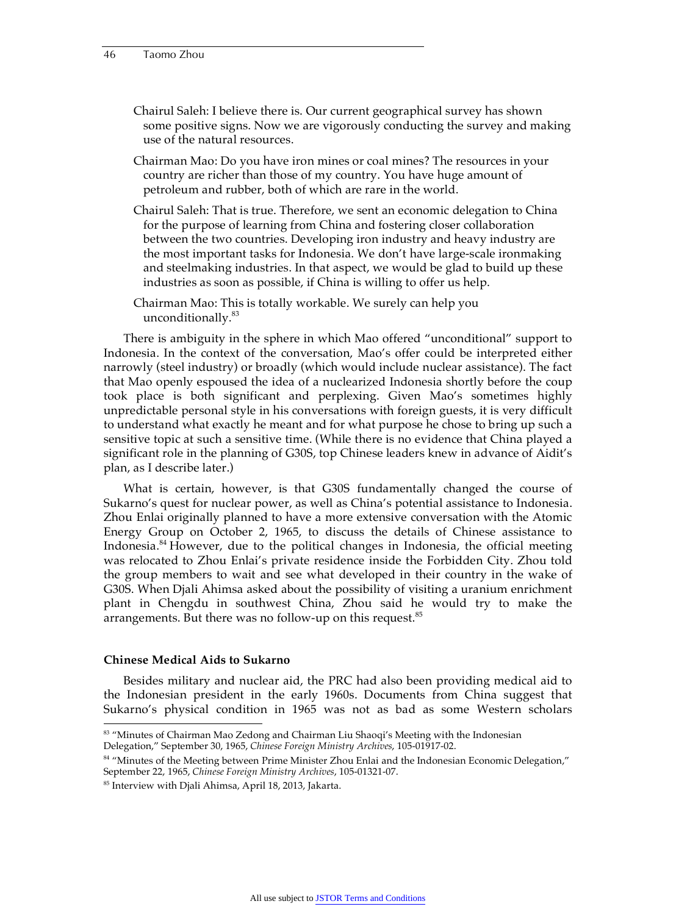Chairul Saleh: I believe there is. Our current geographical survey has shown some positive signs. Now we are vigorously conducting the survey and making use of the natural resources.

Chairman Mao: Do you have iron mines or coal mines? The resources in your country are richer than those of my country. You have huge amount of petroleum and rubber, both of which are rare in the world.

- Chairul Saleh: That is true. Therefore, we sent an economic delegation to China for the purpose of learning from China and fostering closer collaboration between the two countries. Developing iron industry and heavy industry are the most important tasks for Indonesia. We don't have large-scale ironmaking and steelmaking industries. In that aspect, we would be glad to build up these industries as soon as possible, if China is willing to offer us help.
- Chairman Mao: This is totally workable. We surely can help you unconditionally.<sup>83</sup>

There is ambiguity in the sphere in which Mao offered "unconditional" support to Indonesia. In the context of the conversation, Mao's offer could be interpreted either narrowly (steel industry) or broadly (which would include nuclear assistance). The fact that Mao openly espoused the idea of a nuclearized Indonesia shortly before the coup took place is both significant and perplexing. Given Mao's sometimes highly unpredictable personal style in his conversations with foreign guests, it is very difficult to understand what exactly he meant and for what purpose he chose to bring up such a sensitive topic at such a sensitive time. (While there is no evidence that China played a significant role in the planning of G30S, top Chinese leaders knew in advance of Aidit's plan, as I describe later.)

What is certain, however, is that G30S fundamentally changed the course of Sukarno's quest for nuclear power, as well as China's potential assistance to Indonesia. Zhou Enlai originally planned to have a more extensive conversation with the Atomic Energy Group on October 2, 1965, to discuss the details of Chinese assistance to Indonesia.<sup>84</sup> However, due to the political changes in Indonesia, the official meeting was relocated to Zhou Enlai's private residence inside the Forbidden City. Zhou told the group members to wait and see what developed in their country in the wake of G30S. When Djali Ahimsa asked about the possibility of visiting a uranium enrichment plant in Chengdu in southwest China, Zhou said he would try to make the arrangements. But there was no follow-up on this request. $85$ 

#### **Chinese Medical Aids to Sukarno**

Besides military and nuclear aid, the PRC had also been providing medical aid to the Indonesian president in the early 1960s. Documents from China suggest that Sukarno's physical condition in 1965 was not as bad as some Western scholars

<sup>83 &</sup>quot;Minutes of Chairman Mao Zedong and Chairman Liu Shaoqi's Meeting with the Indonesian Delegation," September 30, 1965, *Chinese Foreign Ministry Archives*, 105-01917-02.

<sup>&</sup>lt;sup>84</sup> "Minutes of the Meeting between Prime Minister Zhou Enlai and the Indonesian Economic Delegation," September 22, 1965, *Chinese Foreign Ministry Archives*, 105-01321-07.

<sup>85</sup> Interview with Djali Ahimsa, April 18, 2013, Jakarta.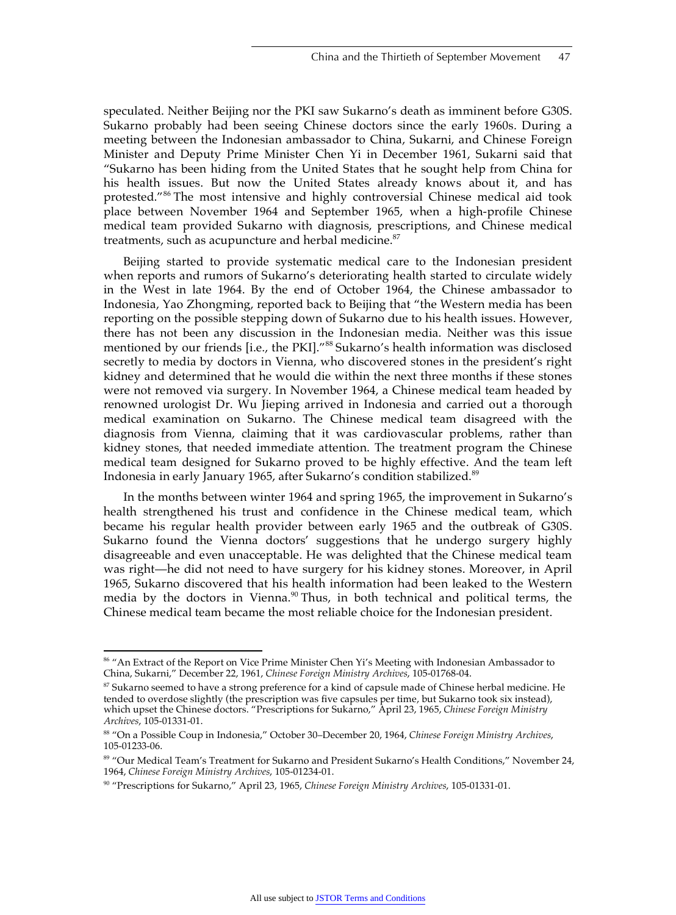speculated. Neither Beijing nor the PKI saw Sukarno's death as imminent before G30S. Sukarno probably had been seeing Chinese doctors since the early 1960s. During a meeting between the Indonesian ambassador to China, Sukarni, and Chinese Foreign Minister and Deputy Prime Minister Chen Yi in December 1961, Sukarni said that "Sukarno has been hiding from the United States that he sought help from China for his health issues. But now the United States already knows about it, and has protested."86 The most intensive and highly controversial Chinese medical aid took place between November 1964 and September 1965, when a high-profile Chinese medical team provided Sukarno with diagnosis, prescriptions, and Chinese medical treatments, such as acupuncture and herbal medicine.<sup>87</sup>

Beijing started to provide systematic medical care to the Indonesian president when reports and rumors of Sukarno's deteriorating health started to circulate widely in the West in late 1964. By the end of October 1964, the Chinese ambassador to Indonesia, Yao Zhongming, reported back to Beijing that "the Western media has been reporting on the possible stepping down of Sukarno due to his health issues. However, there has not been any discussion in the Indonesian media. Neither was this issue mentioned by our friends [i.e., the PKI]."<sup>88</sup> Sukarno's health information was disclosed secretly to media by doctors in Vienna, who discovered stones in the president's right kidney and determined that he would die within the next three months if these stones were not removed via surgery. In November 1964, a Chinese medical team headed by renowned urologist Dr. Wu Jieping arrived in Indonesia and carried out a thorough medical examination on Sukarno. The Chinese medical team disagreed with the diagnosis from Vienna, claiming that it was cardiovascular problems, rather than kidney stones, that needed immediate attention. The treatment program the Chinese medical team designed for Sukarno proved to be highly effective. And the team left Indonesia in early January 1965, after Sukarno's condition stabilized.<sup>89</sup>

In the months between winter 1964 and spring 1965, the improvement in Sukarno's health strengthened his trust and confidence in the Chinese medical team, which became his regular health provider between early 1965 and the outbreak of G30S. Sukarno found the Vienna doctors' suggestions that he undergo surgery highly disagreeable and even unacceptable. He was delighted that the Chinese medical team was right—he did not need to have surgery for his kidney stones. Moreover, in April 1965, Sukarno discovered that his health information had been leaked to the Western media by the doctors in Vienna.<sup>90</sup> Thus, in both technical and political terms, the Chinese medical team became the most reliable choice for the Indonesian president.

<sup>&</sup>lt;sup>86</sup> "An Extract of the Report on Vice Prime Minister Chen Yi's Meeting with Indonesian Ambassador to China, Sukarni," December 22, 1961, *Chinese Foreign Ministry Archives*, 105-01768-04.

 $87$  Sukarno seemed to have a strong preference for a kind of capsule made of Chinese herbal medicine. He tended to overdose slightly (the prescription was five capsules per time, but Sukarno took six instead), which upset the Chinese doctors. "Prescriptions for Sukarno," April 23, 1965, *Chinese Foreign Ministry Archives*, 105-01331-01.

<sup>88 &</sup>quot;On a Possible Coup in Indonesia," October 30–December 20, 1964, *Chinese Foreign Ministry Archives*, 105-01233-06.

<sup>89 &</sup>quot;Our Medical Team's Treatment for Sukarno and President Sukarno's Health Conditions," November 24, 1964, *Chinese Foreign Ministry Archives*, 105-01234-01.

<sup>90 &</sup>quot;Prescriptions for Sukarno," April 23, 1965, *Chinese Foreign Ministry Archives*, 105-01331-01.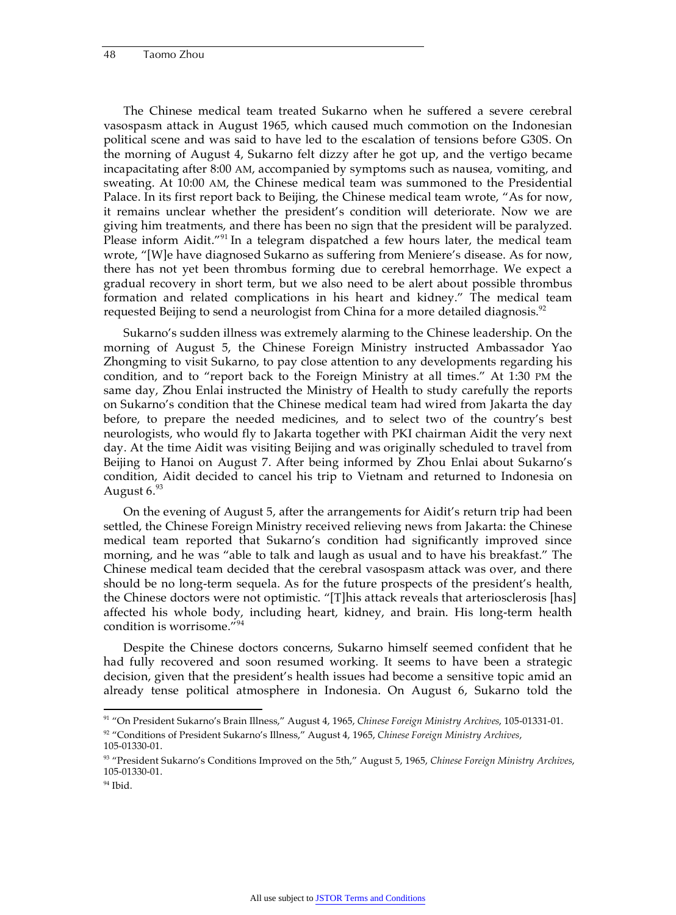The Chinese medical team treated Sukarno when he suffered a severe cerebral vasospasm attack in August 1965, which caused much commotion on the Indonesian political scene and was said to have led to the escalation of tensions before G30S. On the morning of August 4, Sukarno felt dizzy after he got up, and the vertigo became incapacitating after 8:00 AM, accompanied by symptoms such as nausea, vomiting, and sweating. At 10:00 AM, the Chinese medical team was summoned to the Presidential Palace. In its first report back to Beijing, the Chinese medical team wrote, "As for now, it remains unclear whether the president's condition will deteriorate. Now we are giving him treatments, and there has been no sign that the president will be paralyzed. Please inform Aidit."<sup>91</sup> In a telegram dispatched a few hours later, the medical team wrote, "[W]e have diagnosed Sukarno as suffering from Meniere's disease. As for now, there has not yet been thrombus forming due to cerebral hemorrhage. We expect a gradual recovery in short term, but we also need to be alert about possible thrombus formation and related complications in his heart and kidney." The medical team requested Beijing to send a neurologist from China for a more detailed diagnosis.<sup>92</sup>

Sukarno's sudden illness was extremely alarming to the Chinese leadership. On the morning of August 5, the Chinese Foreign Ministry instructed Ambassador Yao Zhongming to visit Sukarno, to pay close attention to any developments regarding his condition, and to "report back to the Foreign Ministry at all times." At 1:30 PM the same day, Zhou Enlai instructed the Ministry of Health to study carefully the reports on Sukarno's condition that the Chinese medical team had wired from Jakarta the day before, to prepare the needed medicines, and to select two of the country's best neurologists, who would fly to Jakarta together with PKI chairman Aidit the very next day. At the time Aidit was visiting Beijing and was originally scheduled to travel from Beijing to Hanoi on August 7. After being informed by Zhou Enlai about Sukarno's condition, Aidit decided to cancel his trip to Vietnam and returned to Indonesia on August  $6.^{93}$ 

On the evening of August 5, after the arrangements for Aidit's return trip had been settled, the Chinese Foreign Ministry received relieving news from Jakarta: the Chinese medical team reported that Sukarno's condition had significantly improved since morning, and he was "able to talk and laugh as usual and to have his breakfast." The Chinese medical team decided that the cerebral vasospasm attack was over, and there should be no long-term sequela. As for the future prospects of the president's health, the Chinese doctors were not optimistic. "[T]his attack reveals that arteriosclerosis [has] affected his whole body, including heart, kidney, and brain. His long-term health condition is worrisome."<sup>94</sup>

Despite the Chinese doctors concerns, Sukarno himself seemed confident that he had fully recovered and soon resumed working. It seems to have been a strategic decision, given that the president's health issues had become a sensitive topic amid an already tense political atmosphere in Indonesia. On August 6, Sukarno told the

 <sup>91 &</sup>quot;On President Sukarno's Brain Illness," August 4, 1965, *Chinese Foreign Ministry Archives*, 105-01331-01. 92 "Conditions of President Sukarno's Illness," August 4, 1965, *Chinese Foreign Ministry Archives*,

<sup>105-01330-01.</sup> 

<sup>93 &</sup>quot;President Sukarno's Conditions Improved on the 5th," August 5, 1965, *Chinese Foreign Ministry Archives*, 105-01330-01.

 $94$  Ibid.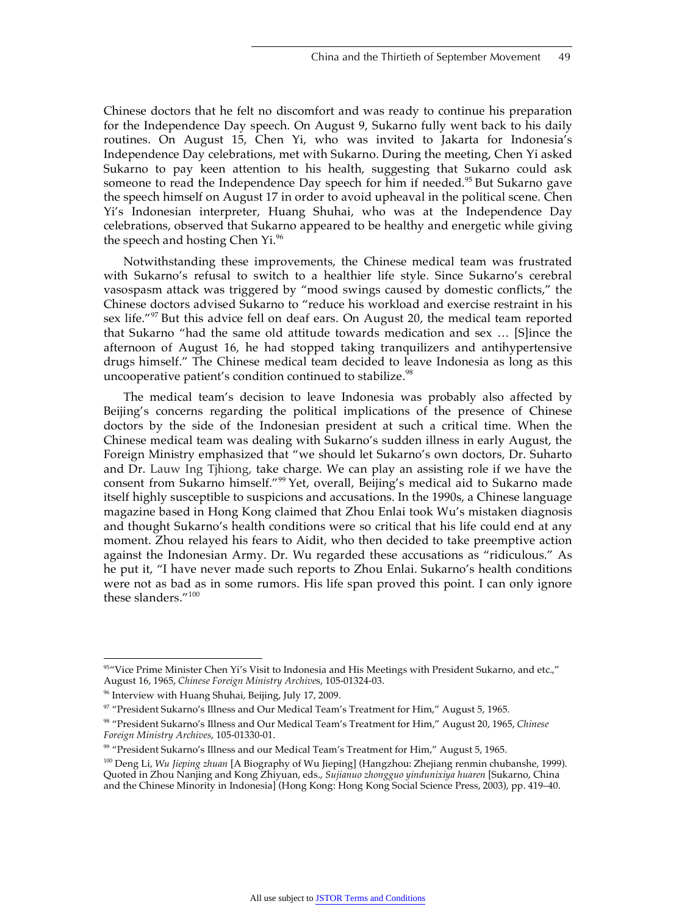Chinese doctors that he felt no discomfort and was ready to continue his preparation for the Independence Day speech. On August 9, Sukarno fully went back to his daily routines. On August 15, Chen Yi, who was invited to Jakarta for Indonesia's Independence Day celebrations, met with Sukarno. During the meeting, Chen Yi asked Sukarno to pay keen attention to his health, suggesting that Sukarno could ask someone to read the Independence Day speech for him if needed.<sup>95</sup> But Sukarno gave the speech himself on August 17 in order to avoid upheaval in the political scene. Chen Yi's Indonesian interpreter, Huang Shuhai, who was at the Independence Day celebrations, observed that Sukarno appeared to be healthy and energetic while giving the speech and hosting Chen Yi.<sup>96</sup>

Notwithstanding these improvements, the Chinese medical team was frustrated with Sukarno's refusal to switch to a healthier life style. Since Sukarno's cerebral vasospasm attack was triggered by "mood swings caused by domestic conflicts," the Chinese doctors advised Sukarno to "reduce his workload and exercise restraint in his sex life."<sup>97</sup> But this advice fell on deaf ears. On August 20, the medical team reported that Sukarno "had the same old attitude towards medication and sex … [S]ince the afternoon of August 16, he had stopped taking tranquilizers and antihypertensive drugs himself." The Chinese medical team decided to leave Indonesia as long as this uncooperative patient's condition continued to stabilize.<sup>98</sup>

The medical team's decision to leave Indonesia was probably also affected by Beijing's concerns regarding the political implications of the presence of Chinese doctors by the side of the Indonesian president at such a critical time. When the Chinese medical team was dealing with Sukarno's sudden illness in early August, the Foreign Ministry emphasized that "we should let Sukarno's own doctors, Dr. Suharto and Dr. Lauw Ing Tjhiong, take charge. We can play an assisting role if we have the consent from Sukarno himself."99 Yet, overall, Beijing's medical aid to Sukarno made itself highly susceptible to suspicions and accusations. In the 1990s, a Chinese language magazine based in Hong Kong claimed that Zhou Enlai took Wu's mistaken diagnosis and thought Sukarno's health conditions were so critical that his life could end at any moment. Zhou relayed his fears to Aidit, who then decided to take preemptive action against the Indonesian Army. Dr. Wu regarded these accusations as "ridiculous." As he put it, "I have never made such reports to Zhou Enlai. Sukarno's health conditions were not as bad as in some rumors. His life span proved this point. I can only ignore these slanders."<sup>100</sup>

<sup>95&</sup>quot;Vice Prime Minister Chen Yi's Visit to Indonesia and His Meetings with President Sukarno, and etc.," August 16, 1965, *Chinese Foreign Ministry Archive*s, 105-01324-03.

<sup>96</sup> Interview with Huang Shuhai, Beijing, July 17, 2009.

<sup>97 &</sup>quot;President Sukarno's Illness and Our Medical Team's Treatment for Him," August 5, 1965.

<sup>98 &</sup>quot;President Sukarno's Illness and Our Medical Team's Treatment for Him," August 20, 1965, *Chinese Foreign Ministry Archives*, 105-01330-01.

<sup>99 &</sup>quot;President Sukarno's Illness and our Medical Team's Treatment for Him," August 5, 1965.

<sup>100</sup> Deng Li, *Wu Jieping zhuan* [A Biography of Wu Jieping] (Hangzhou: Zhejiang renmin chubanshe, 1999). Quoted in Zhou Nanjing and Kong Zhiyuan, eds., *Sujianuo zhongguo yindunixiya huaren* [Sukarno, China and the Chinese Minority in Indonesia] (Hong Kong: Hong Kong Social Science Press, 2003), pp. 419–40.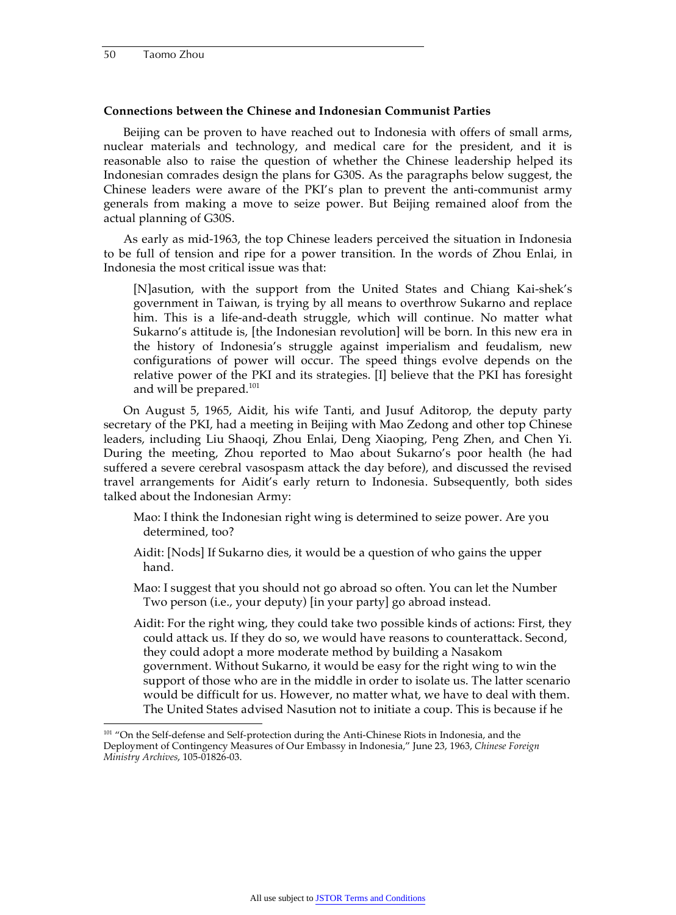#### **Connections between the Chinese and Indonesian Communist Parties**

Beijing can be proven to have reached out to Indonesia with offers of small arms, nuclear materials and technology, and medical care for the president, and it is reasonable also to raise the question of whether the Chinese leadership helped its Indonesian comrades design the plans for G30S. As the paragraphs below suggest, the Chinese leaders were aware of the PKI's plan to prevent the anti-communist army generals from making a move to seize power. But Beijing remained aloof from the actual planning of G30S.

As early as mid-1963, the top Chinese leaders perceived the situation in Indonesia to be full of tension and ripe for a power transition. In the words of Zhou Enlai, in Indonesia the most critical issue was that:

[N]asution, with the support from the United States and Chiang Kai-shek's government in Taiwan, is trying by all means to overthrow Sukarno and replace him. This is a life-and-death struggle, which will continue. No matter what Sukarno's attitude is, [the Indonesian revolution] will be born. In this new era in the history of Indonesia's struggle against imperialism and feudalism, new configurations of power will occur. The speed things evolve depends on the relative power of the PKI and its strategies. [I] believe that the PKI has foresight and will be prepared.<sup>101</sup>

On August 5, 1965, Aidit, his wife Tanti, and Jusuf Aditorop, the deputy party secretary of the PKI, had a meeting in Beijing with Mao Zedong and other top Chinese leaders, including Liu Shaoqi, Zhou Enlai, Deng Xiaoping, Peng Zhen, and Chen Yi. During the meeting, Zhou reported to Mao about Sukarno's poor health (he had suffered a severe cerebral vasospasm attack the day before), and discussed the revised travel arrangements for Aidit's early return to Indonesia. Subsequently, both sides talked about the Indonesian Army:

- Mao: I think the Indonesian right wing is determined to seize power. Are you determined, too?
- Aidit: [Nods] If Sukarno dies, it would be a question of who gains the upper hand.
- Mao: I suggest that you should not go abroad so often. You can let the Number Two person (i.e., your deputy) [in your party] go abroad instead.
- Aidit: For the right wing, they could take two possible kinds of actions: First, they could attack us. If they do so, we would have reasons to counterattack. Second, they could adopt a more moderate method by building a Nasakom government. Without Sukarno, it would be easy for the right wing to win the support of those who are in the middle in order to isolate us. The latter scenario would be difficult for us. However, no matter what, we have to deal with them. The United States advised Nasution not to initiate a coup. This is because if he

<sup>&</sup>lt;sup>101</sup> "On the Self-defense and Self-protection during the Anti-Chinese Riots in Indonesia, and the Deployment of Contingency Measures of Our Embassy in Indonesia," June 23, 1963, *Chinese Foreign Ministry Archives*, 105-01826-03.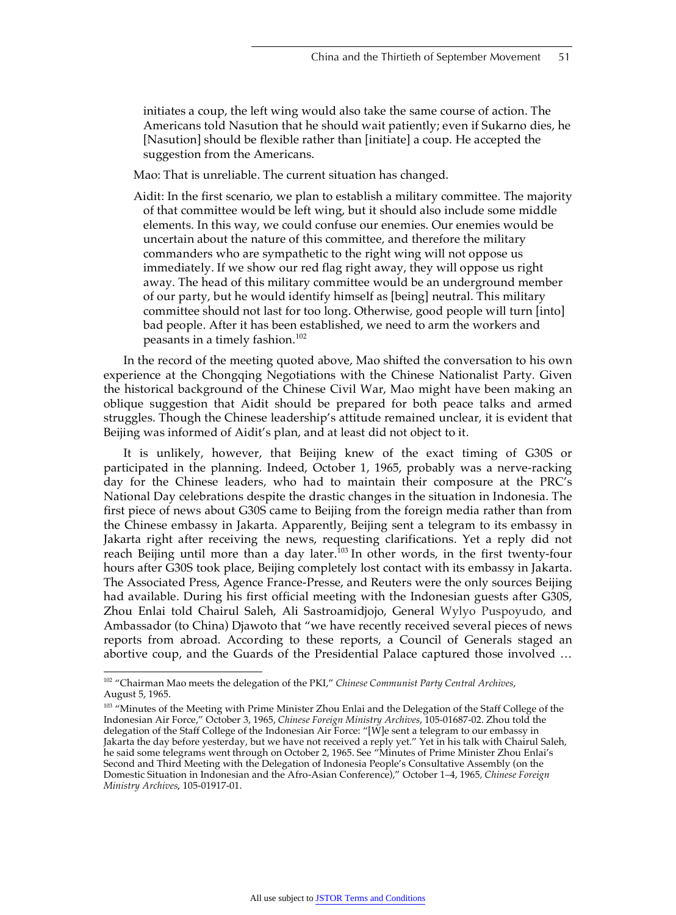initiates a coup, the left wing would also take the same course of action. The Americans told Nasution that he should wait patiently; even if Sukarno dies, he [Nasution] should be flexible rather than [initiate] a coup. He accepted the suggestion from the Americans.

Mao: That is unreliable. The current situation has changed.

Aidit: In the first scenario, we plan to establish a military committee. The majority of that committee would be left wing, but it should also include some middle elements. In this way, we could confuse our enemies. Our enemies would be uncertain about the nature of this committee, and therefore the military commanders who are sympathetic to the right wing will not oppose us immediately. If we show our red flag right away, they will oppose us right away. The head of this military committee would be an underground member of our party, but he would identify himself as [being] neutral. This military committee should not last for too long. Otherwise, good people will turn [into] bad people. After it has been established, we need to arm the workers and peasants in a timely fashion.<sup>102</sup>

In the record of the meeting quoted above, Mao shifted the conversation to his own experience at the Chongqing Negotiations with the Chinese Nationalist Party. Given the historical background of the Chinese Civil War, Mao might have been making an oblique suggestion that Aidit should be prepared for both peace talks and armed struggles. Though the Chinese leadership's attitude remained unclear, it is evident that Beijing was informed of Aidit's plan, and at least did not object to it.

It is unlikely, however, that Beijing knew of the exact timing of G30S or participated in the planning. Indeed, October 1, 1965, probably was a nerve-racking day for the Chinese leaders, who had to maintain their composure at the PRC's National Day celebrations despite the drastic changes in the situation in Indonesia. The first piece of news about G30S came to Beijing from the foreign media rather than from the Chinese embassy in Jakarta. Apparently, Beijing sent a telegram to its embassy in Jakarta right after receiving the news, requesting clarifications. Yet a reply did not reach Beijing until more than a day later.<sup>103</sup> In other words, in the first twenty-four hours after G30S took place, Beijing completely lost contact with its embassy in Jakarta. The Associated Press, Agence France-Presse, and Reuters were the only sources Beijing had available. During his first official meeting with the Indonesian guests after G30S, Zhou Enlai told Chairul Saleh, Ali Sastroamidjojo, General Wylyo Puspoyudo, and Ambassador (to China) Djawoto that "we have recently received several pieces of news reports from abroad. According to these reports, a Council of Generals staged an abortive coup, and the Guards of the Presidential Palace captured those involved …

 <sup>102 &</sup>quot;Chairman Mao meets the delegation of the PKI," *Chinese Communist Party Central Archives*, August 5, 1965.

<sup>&</sup>lt;sup>103</sup> "Minutes of the Meeting with Prime Minister Zhou Enlai and the Delegation of the Staff College of the Indonesian Air Force," October 3, 1965, *Chinese Foreign Ministry Archives*, 105-01687-02. Zhou told the delegation of the Staff College of the Indonesian Air Force: "[W]e sent a telegram to our embassy in Jakarta the day before yesterday, but we have not received a reply yet." Yet in his talk with Chairul Saleh, he said some telegrams went through on October 2, 1965. See "Minutes of Prime Minister Zhou Enlai's Second and Third Meeting with the Delegation of Indonesia People's Consultative Assembly (on the Domestic Situation in Indonesian and the Afro-Asian Conference)," October 1–4, 1965*, Chinese Foreign Ministry Archives*, 105-01917-01.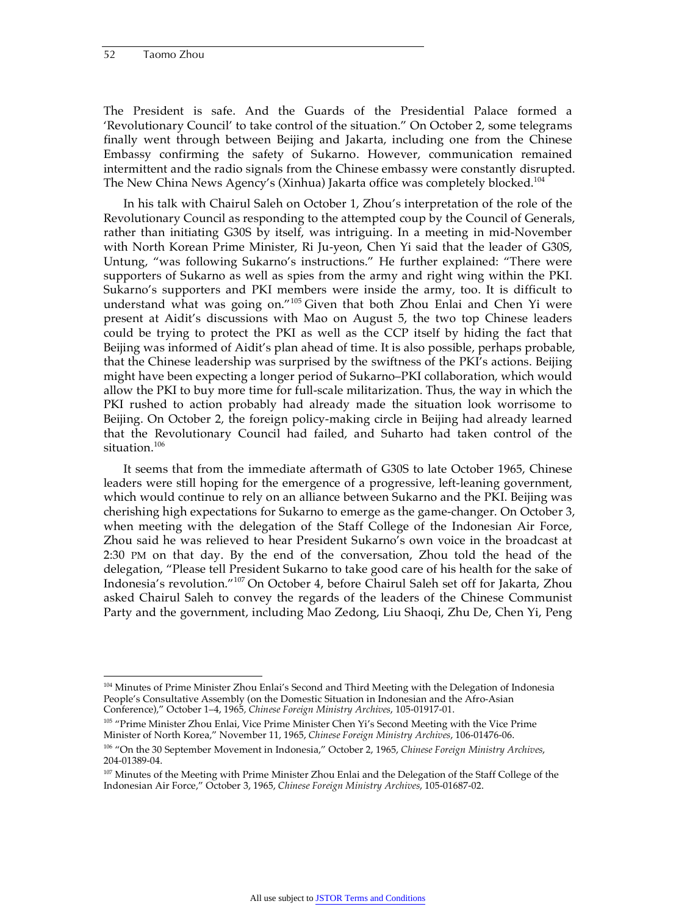The President is safe. And the Guards of the Presidential Palace formed a 'Revolutionary Council' to take control of the situation." On October 2, some telegrams finally went through between Beijing and Jakarta, including one from the Chinese Embassy confirming the safety of Sukarno. However, communication remained intermittent and the radio signals from the Chinese embassy were constantly disrupted. The New China News Agency's (Xinhua) Jakarta office was completely blocked.<sup>104</sup>

In his talk with Chairul Saleh on October 1, Zhou's interpretation of the role of the Revolutionary Council as responding to the attempted coup by the Council of Generals, rather than initiating G30S by itself, was intriguing. In a meeting in mid-November with North Korean Prime Minister, Ri Ju-yeon, Chen Yi said that the leader of G30S, Untung, "was following Sukarno's instructions." He further explained: "There were supporters of Sukarno as well as spies from the army and right wing within the PKI. Sukarno's supporters and PKI members were inside the army, too. It is difficult to understand what was going on."105 Given that both Zhou Enlai and Chen Yi were present at Aidit's discussions with Mao on August 5, the two top Chinese leaders could be trying to protect the PKI as well as the CCP itself by hiding the fact that Beijing was informed of Aidit's plan ahead of time. It is also possible, perhaps probable, that the Chinese leadership was surprised by the swiftness of the PKI's actions. Beijing might have been expecting a longer period of Sukarno–PKI collaboration, which would allow the PKI to buy more time for full-scale militarization. Thus, the way in which the PKI rushed to action probably had already made the situation look worrisome to Beijing. On October 2, the foreign policy-making circle in Beijing had already learned that the Revolutionary Council had failed, and Suharto had taken control of the situation.<sup>106</sup>

It seems that from the immediate aftermath of G30S to late October 1965, Chinese leaders were still hoping for the emergence of a progressive, left-leaning government, which would continue to rely on an alliance between Sukarno and the PKI. Beijing was cherishing high expectations for Sukarno to emerge as the game-changer. On October 3, when meeting with the delegation of the Staff College of the Indonesian Air Force, Zhou said he was relieved to hear President Sukarno's own voice in the broadcast at 2:30 PM on that day. By the end of the conversation, Zhou told the head of the delegation, "Please tell President Sukarno to take good care of his health for the sake of Indonesia's revolution."107 On October 4, before Chairul Saleh set off for Jakarta, Zhou asked Chairul Saleh to convey the regards of the leaders of the Chinese Communist Party and the government, including Mao Zedong, Liu Shaoqi, Zhu De, Chen Yi, Peng

<sup>&</sup>lt;sup>104</sup> Minutes of Prime Minister Zhou Enlai's Second and Third Meeting with the Delegation of Indonesia People's Consultative Assembly (on the Domestic Situation in Indonesian and the Afro-Asian Conference)," October 1–4, 1965*, Chinese Foreign Ministry Archives*, 105-01917-01.

<sup>&</sup>lt;sup>105</sup> "Prime Minister Zhou Enlai, Vice Prime Minister Chen Yi's Second Meeting with the Vice Prime Minister of North Korea," November 11, 1965, *Chinese Foreign Ministry Archives*, 106-01476-06. 106 "On the 30 September Movement in Indonesia," October 2, 1965, *Chinese Foreign Ministry Archives*, 204-01389-04.

<sup>&</sup>lt;sup>107</sup> Minutes of the Meeting with Prime Minister Zhou Enlai and the Delegation of the Staff College of the Indonesian Air Force," October 3, 1965, *Chinese Foreign Ministry Archives*, 105-01687-02.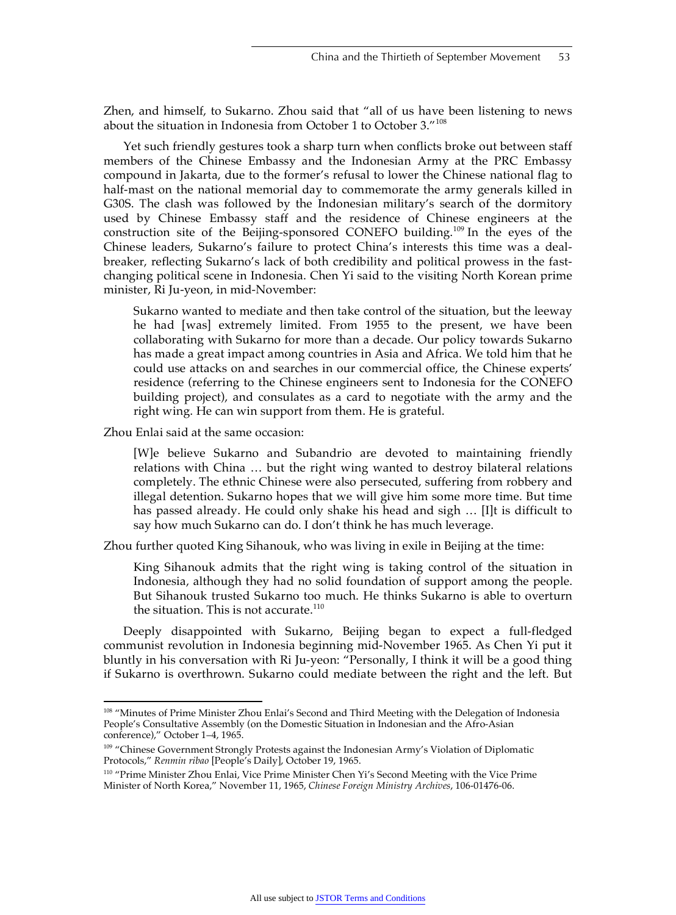Zhen, and himself, to Sukarno. Zhou said that "all of us have been listening to news about the situation in Indonesia from October 1 to October 3."<sup>108</sup>

Yet such friendly gestures took a sharp turn when conflicts broke out between staff members of the Chinese Embassy and the Indonesian Army at the PRC Embassy compound in Jakarta, due to the former's refusal to lower the Chinese national flag to half-mast on the national memorial day to commemorate the army generals killed in G30S. The clash was followed by the Indonesian military's search of the dormitory used by Chinese Embassy staff and the residence of Chinese engineers at the construction site of the Beijing-sponsored CONEFO building.109 In the eyes of the Chinese leaders, Sukarno's failure to protect China's interests this time was a dealbreaker, reflecting Sukarno's lack of both credibility and political prowess in the fastchanging political scene in Indonesia. Chen Yi said to the visiting North Korean prime minister, Ri Ju-yeon, in mid-November:

Sukarno wanted to mediate and then take control of the situation, but the leeway he had [was] extremely limited. From 1955 to the present, we have been collaborating with Sukarno for more than a decade. Our policy towards Sukarno has made a great impact among countries in Asia and Africa. We told him that he could use attacks on and searches in our commercial office, the Chinese experts' residence (referring to the Chinese engineers sent to Indonesia for the CONEFO building project), and consulates as a card to negotiate with the army and the right wing. He can win support from them. He is grateful.

Zhou Enlai said at the same occasion:

[W]e believe Sukarno and Subandrio are devoted to maintaining friendly relations with China … but the right wing wanted to destroy bilateral relations completely. The ethnic Chinese were also persecuted, suffering from robbery and illegal detention. Sukarno hopes that we will give him some more time. But time has passed already. He could only shake his head and sigh … [I]t is difficult to say how much Sukarno can do. I don't think he has much leverage.

Zhou further quoted King Sihanouk, who was living in exile in Beijing at the time:

King Sihanouk admits that the right wing is taking control of the situation in Indonesia, although they had no solid foundation of support among the people. But Sihanouk trusted Sukarno too much. He thinks Sukarno is able to overturn the situation. This is not accurate.<sup>110</sup>

Deeply disappointed with Sukarno, Beijing began to expect a full-fledged communist revolution in Indonesia beginning mid-November 1965. As Chen Yi put it bluntly in his conversation with Ri Ju-yeon: "Personally, I think it will be a good thing if Sukarno is overthrown. Sukarno could mediate between the right and the left. But

<sup>108 &</sup>quot;Minutes of Prime Minister Zhou Enlai's Second and Third Meeting with the Delegation of Indonesia People's Consultative Assembly (on the Domestic Situation in Indonesian and the Afro-Asian conference)," October 1–4, 1965.

<sup>109 &</sup>quot;Chinese Government Strongly Protests against the Indonesian Army's Violation of Diplomatic Protocols," *Renmin ribao* [People's Daily], October 19, 1965.

<sup>&</sup>lt;sup>110</sup> "Prime Minister Zhou Enlai, Vice Prime Minister Chen Yi's Second Meeting with the Vice Prime Minister of North Korea," November 11, 1965, *Chinese Foreign Ministry Archives*, 106-01476-06.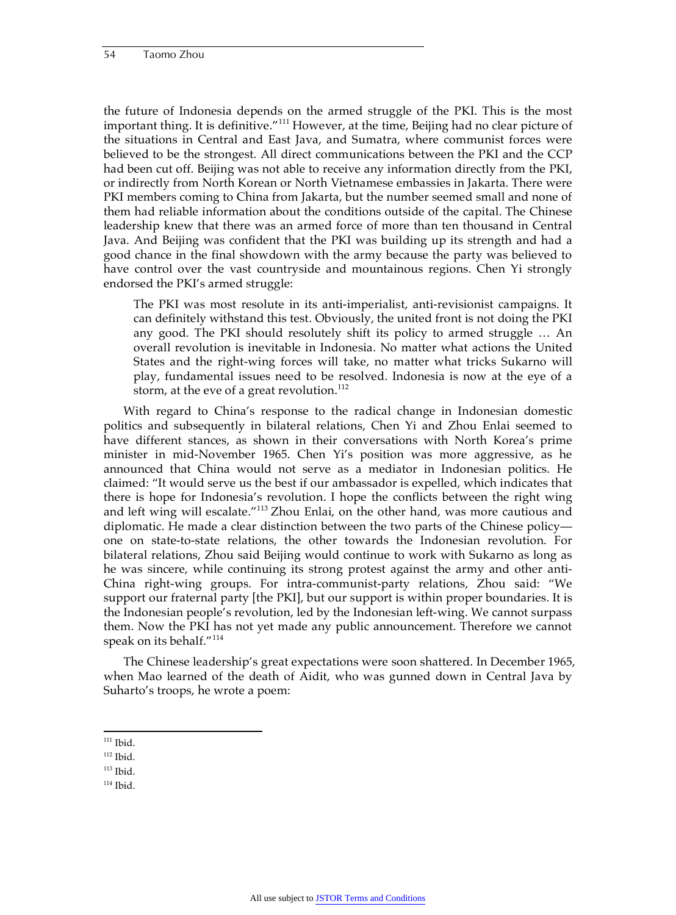the future of Indonesia depends on the armed struggle of the PKI. This is the most important thing. It is definitive."111 However, at the time, Beijing had no clear picture of the situations in Central and East Java, and Sumatra, where communist forces were believed to be the strongest. All direct communications between the PKI and the CCP had been cut off. Beijing was not able to receive any information directly from the PKI, or indirectly from North Korean or North Vietnamese embassies in Jakarta. There were PKI members coming to China from Jakarta, but the number seemed small and none of them had reliable information about the conditions outside of the capital. The Chinese leadership knew that there was an armed force of more than ten thousand in Central Java. And Beijing was confident that the PKI was building up its strength and had a good chance in the final showdown with the army because the party was believed to have control over the vast countryside and mountainous regions. Chen Yi strongly endorsed the PKI's armed struggle:

The PKI was most resolute in its anti-imperialist, anti-revisionist campaigns. It can definitely withstand this test. Obviously, the united front is not doing the PKI any good. The PKI should resolutely shift its policy to armed struggle … An overall revolution is inevitable in Indonesia. No matter what actions the United States and the right-wing forces will take, no matter what tricks Sukarno will play, fundamental issues need to be resolved. Indonesia is now at the eye of a storm, at the eve of a great revolution.<sup>112</sup>

With regard to China's response to the radical change in Indonesian domestic politics and subsequently in bilateral relations, Chen Yi and Zhou Enlai seemed to have different stances, as shown in their conversations with North Korea's prime minister in mid-November 1965. Chen Yi's position was more aggressive, as he announced that China would not serve as a mediator in Indonesian politics. He claimed: "It would serve us the best if our ambassador is expelled, which indicates that there is hope for Indonesia's revolution. I hope the conflicts between the right wing and left wing will escalate."113 Zhou Enlai, on the other hand, was more cautious and diplomatic. He made a clear distinction between the two parts of the Chinese policy one on state-to-state relations, the other towards the Indonesian revolution. For bilateral relations, Zhou said Beijing would continue to work with Sukarno as long as he was sincere, while continuing its strong protest against the army and other anti-China right-wing groups. For intra-communist-party relations, Zhou said: "We support our fraternal party [the PKI], but our support is within proper boundaries. It is the Indonesian people's revolution, led by the Indonesian left-wing. We cannot surpass them. Now the PKI has not yet made any public announcement. Therefore we cannot speak on its behalf."<sup>114</sup>

The Chinese leadership's great expectations were soon shattered. In December 1965, when Mao learned of the death of Aidit, who was gunned down in Central Java by Suharto's troops, he wrote a poem:

 $111$  Ibid.

 $112$  Ibid.

- $113$  Ibid.
- $114$  Ibid.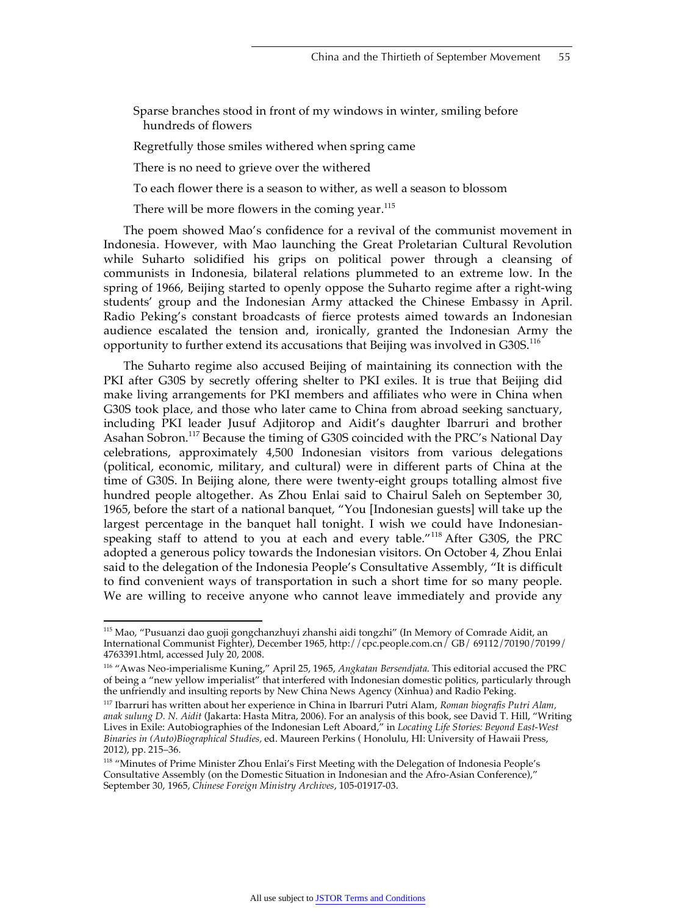Sparse branches stood in front of my windows in winter, smiling before hundreds of flowers

Regretfully those smiles withered when spring came

There is no need to grieve over the withered

To each flower there is a season to wither, as well a season to blossom

There will be more flowers in the coming year. $115$ 

The poem showed Mao's confidence for a revival of the communist movement in Indonesia. However, with Mao launching the Great Proletarian Cultural Revolution while Suharto solidified his grips on political power through a cleansing of communists in Indonesia, bilateral relations plummeted to an extreme low. In the spring of 1966, Beijing started to openly oppose the Suharto regime after a right-wing students' group and the Indonesian Army attacked the Chinese Embassy in April. Radio Peking's constant broadcasts of fierce protests aimed towards an Indonesian audience escalated the tension and, ironically, granted the Indonesian Army the opportunity to further extend its accusations that Beijing was involved in  $G30S$ .<sup>116</sup>

The Suharto regime also accused Beijing of maintaining its connection with the PKI after G30S by secretly offering shelter to PKI exiles. It is true that Beijing did make living arrangements for PKI members and affiliates who were in China when G30S took place, and those who later came to China from abroad seeking sanctuary, including PKI leader Jusuf Adjitorop and Aidit's daughter Ibarruri and brother Asahan Sobron.<sup>117</sup> Because the timing of G30S coincided with the PRC's National Day celebrations, approximately 4,500 Indonesian visitors from various delegations (political, economic, military, and cultural) were in different parts of China at the time of G30S. In Beijing alone, there were twenty-eight groups totalling almost five hundred people altogether. As Zhou Enlai said to Chairul Saleh on September 30, 1965, before the start of a national banquet, "You [Indonesian guests] will take up the largest percentage in the banquet hall tonight. I wish we could have Indonesianspeaking staff to attend to you at each and every table."<sup>118</sup> After G30S, the PRC adopted a generous policy towards the Indonesian visitors. On October 4, Zhou Enlai said to the delegation of the Indonesia People's Consultative Assembly, "It is difficult to find convenient ways of transportation in such a short time for so many people. We are willing to receive anyone who cannot leave immediately and provide any

 <sup>115</sup> Mao, "Pusuanzi dao guoji gongchanzhuyi zhanshi aidi tongzhi" (In Memory of Comrade Aidit, an International Communist Fighter), December 1965, http://cpc.people.com.cn/ GB/ 69112/70190/70199/ 4763391.html, accessed July 20, 2008.

<sup>116 &</sup>quot;Awas Neo-imperialisme Kuning," April 25, 1965, *Angkatan Bersendjata*. This editorial accused the PRC of being a "new yellow imperialist" that interfered with Indonesian domestic politics, particularly through the unfriendly and insulting reports by New China News Agency (Xinhua) and Radio Peking.

<sup>117</sup> Ibarruri has written about her experience in China in Ibarruri Putri Alam, *Roman biografis Putri Alam, anak sulung D. N. Aidit* (Jakarta: Hasta Mitra, 2006). For an analysis of this book, see David T. Hill, "Writing Lives in Exile: Autobiographies of the Indonesian Left Aboard," in *Locating Life Stories: Beyond East-West Binaries in (Auto)Biographical Studies,* ed. Maureen Perkins ( Honolulu, HI: University of Hawaii Press, 2012), pp. 215–36.

<sup>&</sup>lt;sup>118</sup> "Minutes of Prime Minister Zhou Enlai's First Meeting with the Delegation of Indonesia People's Consultative Assembly (on the Domestic Situation in Indonesian and the Afro-Asian Conference)," September 30, 1965*, Chinese Foreign Ministry Archives*, 105-01917-03.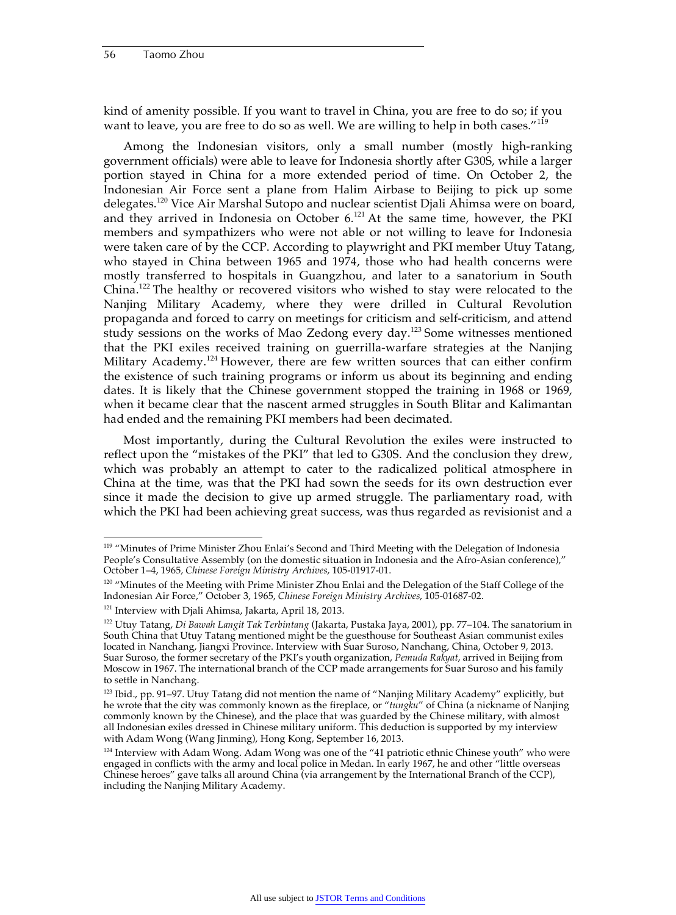kind of amenity possible. If you want to travel in China, you are free to do so; if you want to leave, you are free to do so as well. We are willing to help in both cases."<sup>119</sup>

Among the Indonesian visitors, only a small number (mostly high-ranking government officials) were able to leave for Indonesia shortly after G30S, while a larger portion stayed in China for a more extended period of time. On October 2, the Indonesian Air Force sent a plane from Halim Airbase to Beijing to pick up some delegates.<sup>120</sup> Vice Air Marshal Sutopo and nuclear scientist Djali Ahimsa were on board, and they arrived in Indonesia on October  $6.^{121}$  At the same time, however, the PKI members and sympathizers who were not able or not willing to leave for Indonesia were taken care of by the CCP. According to playwright and PKI member Utuy Tatang, who stayed in China between 1965 and 1974, those who had health concerns were mostly transferred to hospitals in Guangzhou, and later to a sanatorium in South China.122 The healthy or recovered visitors who wished to stay were relocated to the Nanjing Military Academy, where they were drilled in Cultural Revolution propaganda and forced to carry on meetings for criticism and self-criticism, and attend study sessions on the works of Mao Zedong every day.<sup>123</sup> Some witnesses mentioned that the PKI exiles received training on guerrilla-warfare strategies at the Nanjing Military Academy.<sup>124</sup> However, there are few written sources that can either confirm the existence of such training programs or inform us about its beginning and ending dates. It is likely that the Chinese government stopped the training in 1968 or 1969, when it became clear that the nascent armed struggles in South Blitar and Kalimantan had ended and the remaining PKI members had been decimated.

Most importantly, during the Cultural Revolution the exiles were instructed to reflect upon the "mistakes of the PKI" that led to G30S. And the conclusion they drew, which was probably an attempt to cater to the radicalized political atmosphere in China at the time, was that the PKI had sown the seeds for its own destruction ever since it made the decision to give up armed struggle. The parliamentary road, with which the PKI had been achieving great success, was thus regarded as revisionist and a

<sup>&</sup>lt;sup>119</sup> "Minutes of Prime Minister Zhou Enlai's Second and Third Meeting with the Delegation of Indonesia People's Consultative Assembly (on the domestic situation in Indonesia and the Afro-Asian conference)," October 1–4, 1965*, Chinese Foreign Ministry Archives*, 105-01917-01.

<sup>&</sup>lt;sup>120</sup> "Minutes of the Meeting with Prime Minister Zhou Enlai and the Delegation of the Staff College of the Indonesian Air Force," October 3, 1965, *Chinese Foreign Ministry Archives*, 105-01687-02.

<sup>&</sup>lt;sup>121</sup> Interview with Djali Ahimsa, Jakarta, April 18, 2013.

<sup>122</sup> Utuy Tatang, *Di Bawah Langit Tak Terbintang* (Jakarta, Pustaka Jaya, 2001), pp. 77–104. The sanatorium in South China that Utuy Tatang mentioned might be the guesthouse for Southeast Asian communist exiles located in Nanchang, Jiangxi Province. Interview with Suar Suroso, Nanchang, China, October 9, 2013. Suar Suroso, the former secretary of the PKI's youth organization, *Pemuda Rakyat*, arrived in Beijing from Moscow in 1967. The international branch of the CCP made arrangements for Suar Suroso and his family to settle in Nanchang.

<sup>&</sup>lt;sup>123</sup> Ibid., pp. 91-97. Utuy Tatang did not mention the name of "Nanjing Military Academy" explicitly, but he wrote that the city was commonly known as the fireplace, or "*tungku*" of China (a nickname of Nanjing commonly known by the Chinese), and the place that was guarded by the Chinese military, with almost all Indonesian exiles dressed in Chinese military uniform. This deduction is supported by my interview with Adam Wong (Wang Jinming), Hong Kong, September 16, 2013.

<sup>&</sup>lt;sup>124</sup> Interview with Adam Wong. Adam Wong was one of the "41 patriotic ethnic Chinese youth" who were engaged in conflicts with the army and local police in Medan. In early 1967, he and other "little overseas Chinese heroes" gave talks all around China (via arrangement by the International Branch of the CCP), including the Nanjing Military Academy.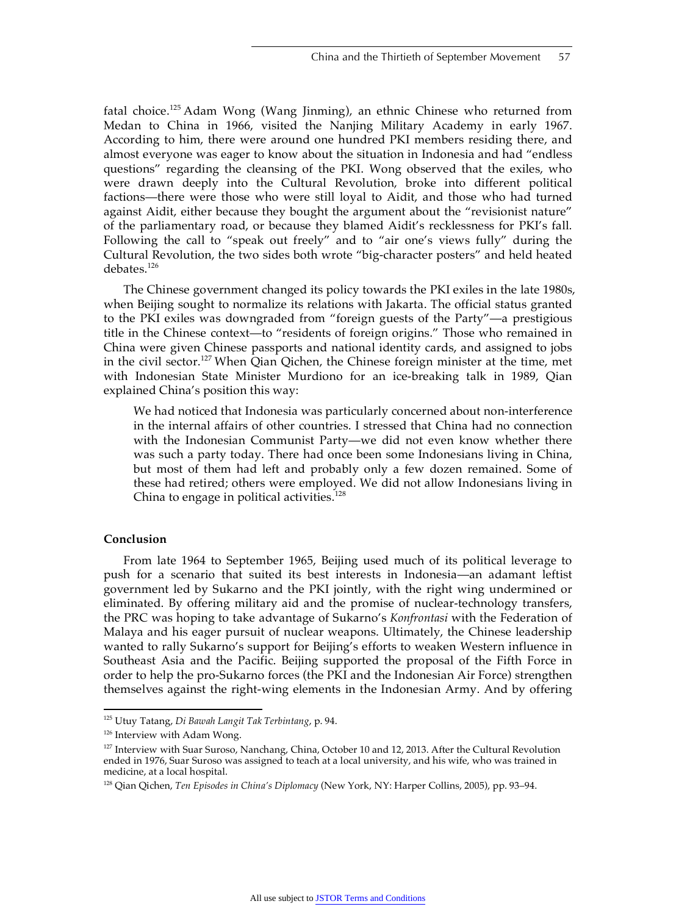fatal choice.125 Adam Wong (Wang Jinming), an ethnic Chinese who returned from Medan to China in 1966, visited the Nanjing Military Academy in early 1967. According to him, there were around one hundred PKI members residing there, and almost everyone was eager to know about the situation in Indonesia and had "endless questions" regarding the cleansing of the PKI. Wong observed that the exiles, who were drawn deeply into the Cultural Revolution, broke into different political factions—there were those who were still loyal to Aidit, and those who had turned against Aidit, either because they bought the argument about the "revisionist nature" of the parliamentary road, or because they blamed Aidit's recklessness for PKI's fall. Following the call to "speak out freely" and to "air one's views fully" during the Cultural Revolution, the two sides both wrote "big-character posters" and held heated debates.<sup>126</sup>

The Chinese government changed its policy towards the PKI exiles in the late 1980s, when Beijing sought to normalize its relations with Jakarta. The official status granted to the PKI exiles was downgraded from "foreign guests of the Party"—a prestigious title in the Chinese context—to "residents of foreign origins." Those who remained in China were given Chinese passports and national identity cards, and assigned to jobs in the civil sector.<sup>127</sup> When Qian Qichen, the Chinese foreign minister at the time, met with Indonesian State Minister Murdiono for an ice-breaking talk in 1989, Qian explained China's position this way:

We had noticed that Indonesia was particularly concerned about non-interference in the internal affairs of other countries. I stressed that China had no connection with the Indonesian Communist Party—we did not even know whether there was such a party today. There had once been some Indonesians living in China, but most of them had left and probably only a few dozen remained. Some of these had retired; others were employed. We did not allow Indonesians living in China to engage in political activities. $128$ 

#### **Conclusion**

From late 1964 to September 1965, Beijing used much of its political leverage to push for a scenario that suited its best interests in Indonesia—an adamant leftist government led by Sukarno and the PKI jointly, with the right wing undermined or eliminated. By offering military aid and the promise of nuclear-technology transfers, the PRC was hoping to take advantage of Sukarno's *Konfrontasi* with the Federation of Malaya and his eager pursuit of nuclear weapons. Ultimately, the Chinese leadership wanted to rally Sukarno's support for Beijing's efforts to weaken Western influence in Southeast Asia and the Pacific. Beijing supported the proposal of the Fifth Force in order to help the pro-Sukarno forces (the PKI and the Indonesian Air Force) strengthen themselves against the right-wing elements in the Indonesian Army. And by offering

 <sup>125</sup> Utuy Tatang, *Di Bawah Langit Tak Terbintang*, p. 94.

<sup>126</sup> Interview with Adam Wong.

<sup>&</sup>lt;sup>127</sup> Interview with Suar Suroso, Nanchang, China, October 10 and 12, 2013. After the Cultural Revolution ended in 1976, Suar Suroso was assigned to teach at a local university, and his wife, who was trained in medicine, at a local hospital.

<sup>128</sup> Qian Qichen, *Ten Episodes in China's Diplomacy* (New York, NY: Harper Collins, 2005), pp. 93–94.